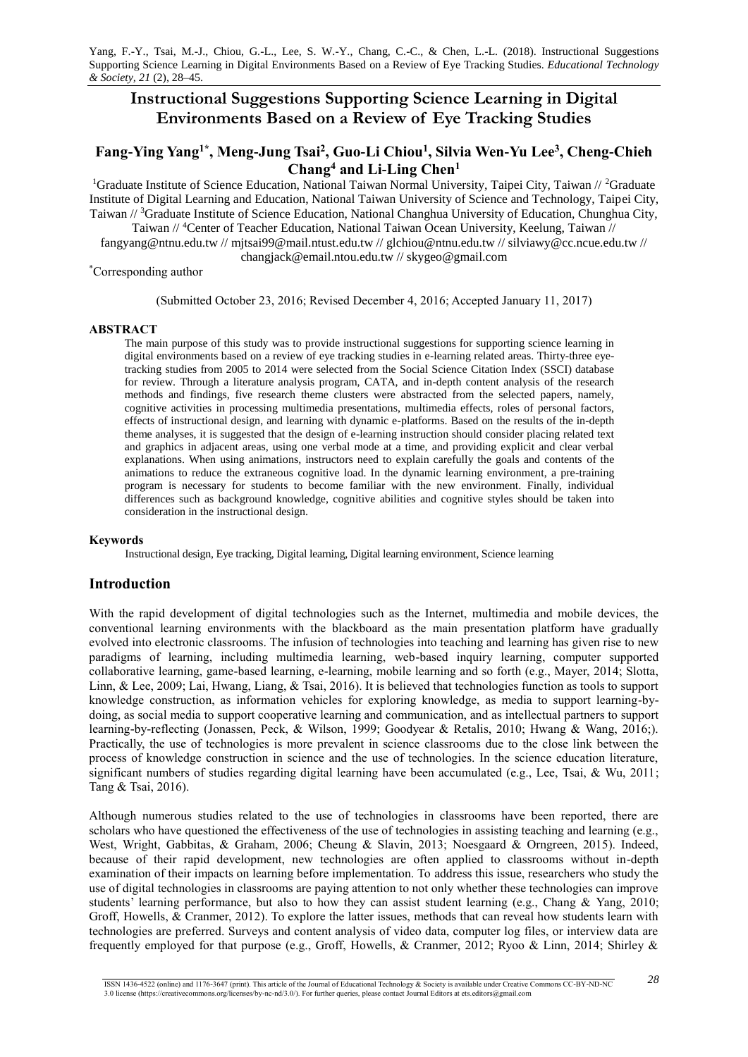# **Instructional Suggestions Supporting Science Learning in Digital Environments Based on a Review of Eye Tracking Studies**

# **Fang-Ying Yang1\* , Meng-Jung Tsai<sup>2</sup> , Guo-Li Chiou<sup>1</sup> , Silvia Wen-Yu Lee<sup>3</sup> , Cheng-Chieh Chang<sup>4</sup> and Li-Ling Chen<sup>1</sup>**

<sup>1</sup>Graduate Institute of Science Education, National Taiwan Normal University, Taipei City, Taiwan // <sup>2</sup>Graduate Institute of Digital Learning and Education, National Taiwan University of Science and Technology, Taipei City, Taiwan // <sup>3</sup>Graduate Institute of Science Education, National Changhua University of Education, Chunghua City, Taiwan // <sup>4</sup>Center of Teacher Education, National Taiwan Ocean University, Keelung, Taiwan //

fangyang@ntnu.edu.tw // mjtsai99@mail.ntust.edu.tw // glchiou@ntnu.edu.tw // silviawy@cc.ncue.edu.tw // changjack@email.ntou.edu.tw // skygeo@gmail.com

\*Corresponding author

(Submitted October 23, 2016; Revised December 4, 2016; Accepted January 11, 2017)

## **ABSTRACT**

The main purpose of this study was to provide instructional suggestions for supporting science learning in digital environments based on a review of eye tracking studies in e-learning related areas. Thirty-three eyetracking studies from 2005 to 2014 were selected from the Social Science Citation Index (SSCI) database for review. Through a literature analysis program, CATA, and in-depth content analysis of the research methods and findings, five research theme clusters were abstracted from the selected papers, namely, cognitive activities in processing multimedia presentations, multimedia effects, roles of personal factors, effects of instructional design, and learning with dynamic e-platforms. Based on the results of the in-depth theme analyses, it is suggested that the design of e-learning instruction should consider placing related text and graphics in adjacent areas, using one verbal mode at a time, and providing explicit and clear verbal explanations. When using animations, instructors need to explain carefully the goals and contents of the animations to reduce the extraneous cognitive load. In the dynamic learning environment, a pre-training program is necessary for students to become familiar with the new environment. Finally, individual differences such as background knowledge, cognitive abilities and cognitive styles should be taken into consideration in the instructional design.

#### **Keywords**

Instructional design, Eye tracking, Digital learning, Digital learning environment, Science learning

## **Introduction**

With the rapid development of digital technologies such as the Internet, multimedia and mobile devices, the conventional learning environments with the blackboard as the main presentation platform have gradually evolved into electronic classrooms. The infusion of technologies into teaching and learning has given rise to new paradigms of learning, including multimedia learning, web-based inquiry learning, computer supported collaborative learning, game-based learning, e-learning, mobile learning and so forth (e.g., Mayer, 2014; Slotta, Linn, & Lee, 2009; Lai, Hwang, Liang, & Tsai, 2016). It is believed that technologies function as tools to support knowledge construction, as information vehicles for exploring knowledge, as media to support learning-bydoing, as social media to support cooperative learning and communication, and as intellectual partners to support learning-by-reflecting (Jonassen, Peck, & Wilson, 1999; Goodyear & Retalis, 2010; Hwang & Wang, 2016;). Practically, the use of technologies is more prevalent in science classrooms due to the close link between the process of knowledge construction in science and the use of technologies. In the science education literature, significant numbers of studies regarding digital learning have been accumulated (e.g., Lee, Tsai, & Wu, 2011; Tang & Tsai, 2016).

Although numerous studies related to the use of technologies in classrooms have been reported, there are scholars who have questioned the effectiveness of the use of technologies in assisting teaching and learning (e.g., West, Wright, Gabbitas, & Graham, 2006; Cheung & Slavin, 2013; Noesgaard & Orngreen, 2015). Indeed, because of their rapid development, new technologies are often applied to classrooms without in-depth examination of their impacts on learning before implementation. To address this issue, researchers who study the use of digital technologies in classrooms are paying attention to not only whether these technologies can improve students' learning performance, but also to how they can assist student learning (e.g., Chang & Yang, 2010; Groff, Howells, & Cranmer, 2012). To explore the latter issues, methods that can reveal how students learn with technologies are preferred. Surveys and content analysis of video data, computer log files, or interview data are frequently employed for that purpose (e.g., Groff, Howells, & Cranmer, 2012; Ryoo & Linn, 2014; Shirley &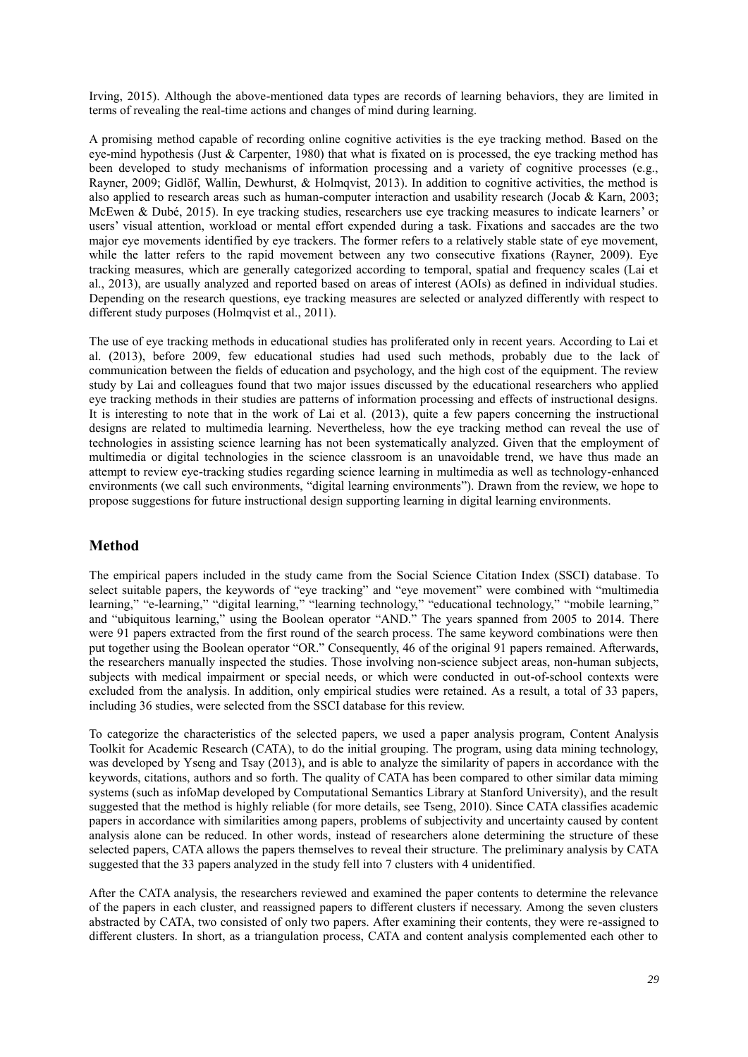Irving, 2015). Although the above-mentioned data types are records of learning behaviors, they are limited in terms of revealing the real-time actions and changes of mind during learning.

A promising method capable of recording online cognitive activities is the eye tracking method. Based on the eye-mind hypothesis (Just & Carpenter, 1980) that what is fixated on is processed, the eye tracking method has been developed to study mechanisms of information processing and a variety of cognitive processes (e.g., Rayner, 2009; Gidlöf, Wallin, Dewhurst, & Holmqvist, 2013). In addition to cognitive activities, the method is also applied to research areas such as human-computer interaction and usability research (Jocab & Karn, 2003; McEwen & Dubé, 2015). In eye tracking studies, researchers use eye tracking measures to indicate learners' or users' visual attention, workload or mental effort expended during a task. Fixations and saccades are the two major eye movements identified by eye trackers. The former refers to a relatively stable state of eye movement, while the latter refers to the rapid movement between any two consecutive fixations (Rayner, 2009). Eye tracking measures, which are generally categorized according to temporal, spatial and frequency scales (Lai et al., 2013), are usually analyzed and reported based on areas of interest (AOIs) as defined in individual studies. Depending on the research questions, eye tracking measures are selected or analyzed differently with respect to different study purposes (Holmqvist et al., 2011).

The use of eye tracking methods in educational studies has proliferated only in recent years. According to Lai et al. (2013), before 2009, few educational studies had used such methods, probably due to the lack of communication between the fields of education and psychology, and the high cost of the equipment. The review study by Lai and colleagues found that two major issues discussed by the educational researchers who applied eye tracking methods in their studies are patterns of information processing and effects of instructional designs. It is interesting to note that in the work of Lai et al. (2013), quite a few papers concerning the instructional designs are related to multimedia learning. Nevertheless, how the eye tracking method can reveal the use of technologies in assisting science learning has not been systematically analyzed. Given that the employment of multimedia or digital technologies in the science classroom is an unavoidable trend, we have thus made an attempt to review eye-tracking studies regarding science learning in multimedia as well as technology-enhanced environments (we call such environments, "digital learning environments"). Drawn from the review, we hope to propose suggestions for future instructional design supporting learning in digital learning environments.

## **Method**

The empirical papers included in the study came from the Social Science Citation Index (SSCI) database. To select suitable papers, the keywords of "eye tracking" and "eye movement" were combined with "multimedia learning," "e-learning," "digital learning," "learning technology," "educational technology," "mobile learning," and "ubiquitous learning," using the Boolean operator "AND." The years spanned from 2005 to 2014. There were 91 papers extracted from the first round of the search process. The same keyword combinations were then put together using the Boolean operator "OR." Consequently, 46 of the original 91 papers remained. Afterwards, the researchers manually inspected the studies. Those involving non-science subject areas, non-human subjects, subjects with medical impairment or special needs, or which were conducted in out-of-school contexts were excluded from the analysis. In addition, only empirical studies were retained. As a result, a total of 33 papers, including 36 studies, were selected from the SSCI database for this review.

To categorize the characteristics of the selected papers, we used a paper analysis program, Content Analysis Toolkit for Academic Research (CATA), to do the initial grouping. The program, using data mining technology, was developed by Yseng and Tsay (2013), and is able to analyze the similarity of papers in accordance with the keywords, citations, authors and so forth. The quality of CATA has been compared to other similar data miming systems (such as infoMap developed by Computational Semantics Library at Stanford University), and the result suggested that the method is highly reliable (for more details, see Tseng, 2010). Since CATA classifies academic papers in accordance with similarities among papers, problems of subjectivity and uncertainty caused by content analysis alone can be reduced. In other words, instead of researchers alone determining the structure of these selected papers, CATA allows the papers themselves to reveal their structure. The preliminary analysis by CATA suggested that the 33 papers analyzed in the study fell into 7 clusters with 4 unidentified.

After the CATA analysis, the researchers reviewed and examined the paper contents to determine the relevance of the papers in each cluster, and reassigned papers to different clusters if necessary. Among the seven clusters abstracted by CATA, two consisted of only two papers. After examining their contents, they were re-assigned to different clusters. In short, as a triangulation process, CATA and content analysis complemented each other to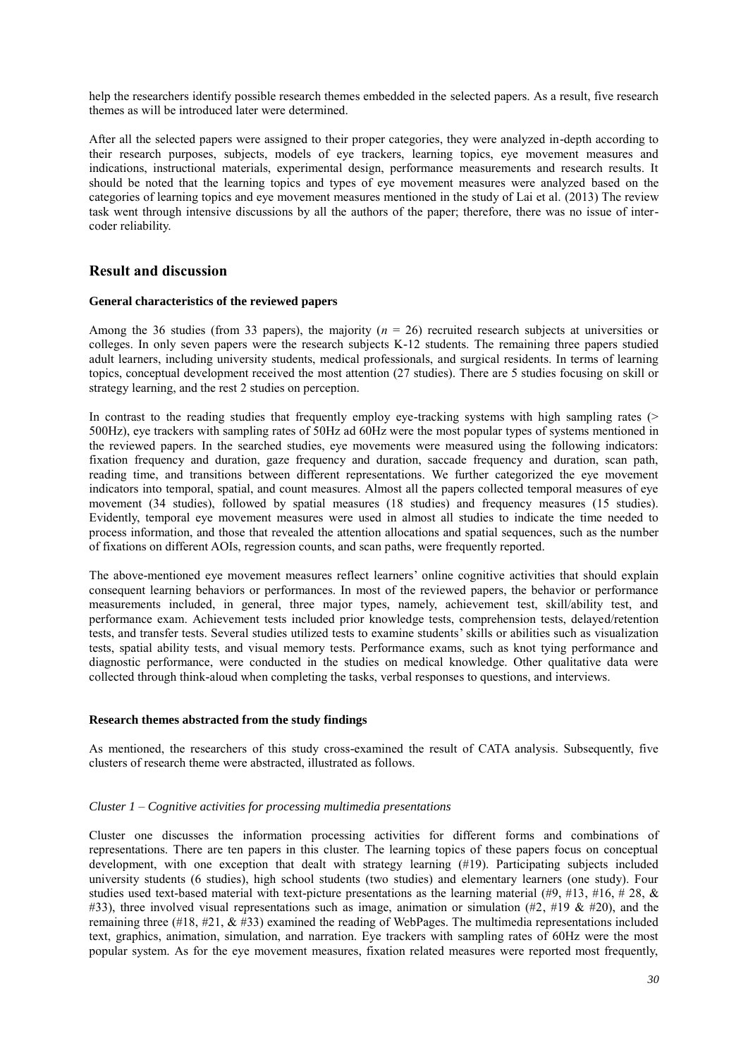help the researchers identify possible research themes embedded in the selected papers. As a result, five research themes as will be introduced later were determined.

After all the selected papers were assigned to their proper categories, they were analyzed in-depth according to their research purposes, subjects, models of eye trackers, learning topics, eye movement measures and indications, instructional materials, experimental design, performance measurements and research results. It should be noted that the learning topics and types of eye movement measures were analyzed based on the categories of learning topics and eye movement measures mentioned in the study of Lai et al. (2013) The review task went through intensive discussions by all the authors of the paper; therefore, there was no issue of intercoder reliability.

## **Result and discussion**

#### **General characteristics of the reviewed papers**

Among the 36 studies (from 33 papers), the majority (*n* = 26) recruited research subjects at universities or colleges. In only seven papers were the research subjects K-12 students. The remaining three papers studied adult learners, including university students, medical professionals, and surgical residents. In terms of learning topics, conceptual development received the most attention (27 studies). There are 5 studies focusing on skill or strategy learning, and the rest 2 studies on perception.

In contrast to the reading studies that frequently employ eye-tracking systems with high sampling rates (> 500Hz), eye trackers with sampling rates of 50Hz ad 60Hz were the most popular types of systems mentioned in the reviewed papers. In the searched studies, eye movements were measured using the following indicators: fixation frequency and duration, gaze frequency and duration, saccade frequency and duration, scan path, reading time, and transitions between different representations. We further categorized the eye movement indicators into temporal, spatial, and count measures. Almost all the papers collected temporal measures of eye movement (34 studies), followed by spatial measures (18 studies) and frequency measures (15 studies). Evidently, temporal eye movement measures were used in almost all studies to indicate the time needed to process information, and those that revealed the attention allocations and spatial sequences, such as the number of fixations on different AOIs, regression counts, and scan paths, were frequently reported.

The above-mentioned eye movement measures reflect learners' online cognitive activities that should explain consequent learning behaviors or performances. In most of the reviewed papers, the behavior or performance measurements included, in general, three major types, namely, achievement test, skill/ability test, and performance exam. Achievement tests included prior knowledge tests, comprehension tests, delayed/retention tests, and transfer tests. Several studies utilized tests to examine students' skills or abilities such as visualization tests, spatial ability tests, and visual memory tests. Performance exams, such as knot tying performance and diagnostic performance, were conducted in the studies on medical knowledge. Other qualitative data were collected through think-aloud when completing the tasks, verbal responses to questions, and interviews.

#### **Research themes abstracted from the study findings**

As mentioned, the researchers of this study cross-examined the result of CATA analysis. Subsequently, five clusters of research theme were abstracted, illustrated as follows.

#### *Cluster 1 – Cognitive activities for processing multimedia presentations*

Cluster one discusses the information processing activities for different forms and combinations of representations. There are ten papers in this cluster. The learning topics of these papers focus on conceptual development, with one exception that dealt with strategy learning (#19). Participating subjects included university students (6 studies), high school students (two studies) and elementary learners (one study). Four studies used text-based material with text-picture presentations as the learning material (#9, #13, #16, #28,  $\&$ #33), three involved visual representations such as image, animation or simulation (#2, #19 & #20), and the remaining three (#18, #21,  $\&$  #33) examined the reading of WebPages. The multimedia representations included text, graphics, animation, simulation, and narration. Eye trackers with sampling rates of 60Hz were the most popular system. As for the eye movement measures, fixation related measures were reported most frequently,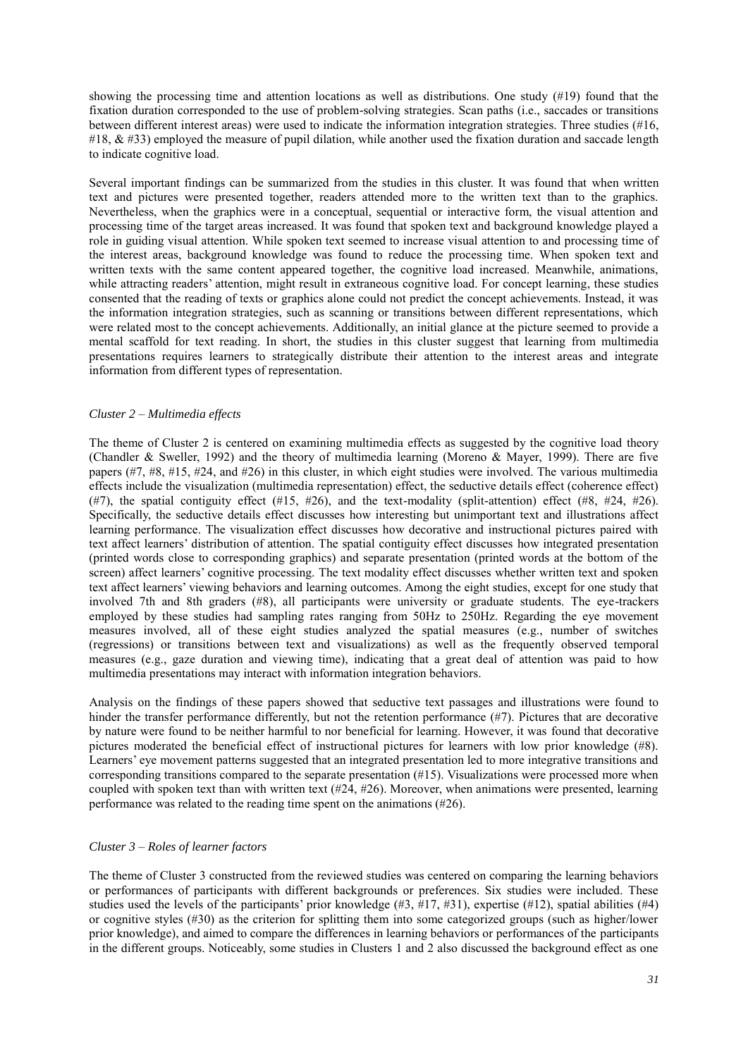showing the processing time and attention locations as well as distributions. One study (#19) found that the fixation duration corresponded to the use of problem-solving strategies. Scan paths (i.e., saccades or transitions between different interest areas) were used to indicate the information integration strategies. Three studies (#16, #18, & #33) employed the measure of pupil dilation, while another used the fixation duration and saccade length to indicate cognitive load.

Several important findings can be summarized from the studies in this cluster. It was found that when written text and pictures were presented together, readers attended more to the written text than to the graphics. Nevertheless, when the graphics were in a conceptual, sequential or interactive form, the visual attention and processing time of the target areas increased. It was found that spoken text and background knowledge played a role in guiding visual attention. While spoken text seemed to increase visual attention to and processing time of the interest areas, background knowledge was found to reduce the processing time. When spoken text and written texts with the same content appeared together, the cognitive load increased. Meanwhile, animations, while attracting readers' attention, might result in extraneous cognitive load. For concept learning, these studies consented that the reading of texts or graphics alone could not predict the concept achievements. Instead, it was the information integration strategies, such as scanning or transitions between different representations, which were related most to the concept achievements. Additionally, an initial glance at the picture seemed to provide a mental scaffold for text reading. In short, the studies in this cluster suggest that learning from multimedia presentations requires learners to strategically distribute their attention to the interest areas and integrate information from different types of representation.

#### *Cluster 2 – Multimedia effects*

The theme of Cluster 2 is centered on examining multimedia effects as suggested by the cognitive load theory (Chandler & Sweller, 1992) and the theory of multimedia learning (Moreno & Mayer, 1999). There are five papers (#7, #8, #15, #24, and #26) in this cluster, in which eight studies were involved. The various multimedia effects include the visualization (multimedia representation) effect, the seductive details effect (coherence effect) (#7), the spatial contiguity effect (#15, #26), and the text-modality (split-attention) effect (#8, #24, #26). Specifically, the seductive details effect discusses how interesting but unimportant text and illustrations affect learning performance. The visualization effect discusses how decorative and instructional pictures paired with text affect learners' distribution of attention. The spatial contiguity effect discusses how integrated presentation (printed words close to corresponding graphics) and separate presentation (printed words at the bottom of the screen) affect learners' cognitive processing. The text modality effect discusses whether written text and spoken text affect learners' viewing behaviors and learning outcomes. Among the eight studies, except for one study that involved 7th and 8th graders (#8), all participants were university or graduate students. The eye-trackers employed by these studies had sampling rates ranging from 50Hz to 250Hz. Regarding the eye movement measures involved, all of these eight studies analyzed the spatial measures (e.g., number of switches (regressions) or transitions between text and visualizations) as well as the frequently observed temporal measures (e.g., gaze duration and viewing time), indicating that a great deal of attention was paid to how multimedia presentations may interact with information integration behaviors.

Analysis on the findings of these papers showed that seductive text passages and illustrations were found to hinder the transfer performance differently, but not the retention performance (#7). Pictures that are decorative by nature were found to be neither harmful to nor beneficial for learning. However, it was found that decorative pictures moderated the beneficial effect of instructional pictures for learners with low prior knowledge (#8). Learners' eye movement patterns suggested that an integrated presentation led to more integrative transitions and corresponding transitions compared to the separate presentation (#15). Visualizations were processed more when coupled with spoken text than with written text (#24, #26). Moreover, when animations were presented, learning performance was related to the reading time spent on the animations (#26).

## *Cluster 3 – Roles of learner factors*

The theme of Cluster 3 constructed from the reviewed studies was centered on comparing the learning behaviors or performances of participants with different backgrounds or preferences. Six studies were included. These studies used the levels of the participants' prior knowledge  $(\#3, \#17, \#31)$ , expertise  $(\#12)$ , spatial abilities  $(\#4)$ or cognitive styles (#30) as the criterion for splitting them into some categorized groups (such as higher/lower prior knowledge), and aimed to compare the differences in learning behaviors or performances of the participants in the different groups. Noticeably, some studies in Clusters 1 and 2 also discussed the background effect as one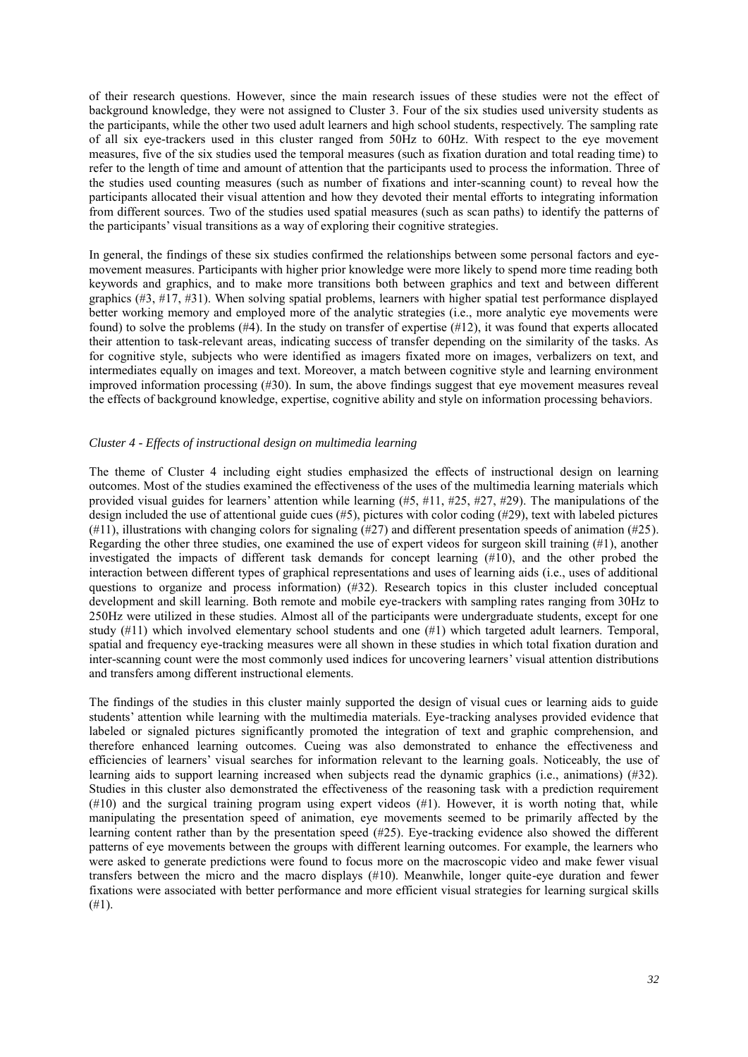of their research questions. However, since the main research issues of these studies were not the effect of background knowledge, they were not assigned to Cluster 3. Four of the six studies used university students as the participants, while the other two used adult learners and high school students, respectively. The sampling rate of all six eye-trackers used in this cluster ranged from 50Hz to 60Hz. With respect to the eye movement measures, five of the six studies used the temporal measures (such as fixation duration and total reading time) to refer to the length of time and amount of attention that the participants used to process the information. Three of the studies used counting measures (such as number of fixations and inter-scanning count) to reveal how the participants allocated their visual attention and how they devoted their mental efforts to integrating information from different sources. Two of the studies used spatial measures (such as scan paths) to identify the patterns of the participants' visual transitions as a way of exploring their cognitive strategies.

In general, the findings of these six studies confirmed the relationships between some personal factors and eyemovement measures. Participants with higher prior knowledge were more likely to spend more time reading both keywords and graphics, and to make more transitions both between graphics and text and between different graphics (#3, #17, #31). When solving spatial problems, learners with higher spatial test performance displayed better working memory and employed more of the analytic strategies (i.e., more analytic eye movements were found) to solve the problems (#4). In the study on transfer of expertise (#12), it was found that experts allocated their attention to task-relevant areas, indicating success of transfer depending on the similarity of the tasks. As for cognitive style, subjects who were identified as imagers fixated more on images, verbalizers on text, and intermediates equally on images and text. Moreover, a match between cognitive style and learning environment improved information processing (#30). In sum, the above findings suggest that eye movement measures reveal the effects of background knowledge, expertise, cognitive ability and style on information processing behaviors.

#### *Cluster 4 - Effects of instructional design on multimedia learning*

The theme of Cluster 4 including eight studies emphasized the effects of instructional design on learning outcomes. Most of the studies examined the effectiveness of the uses of the multimedia learning materials which provided visual guides for learners' attention while learning  $(\#5, \#11, \#25, \#27, \#29)$ . The manipulations of the design included the use of attentional guide cues (#5), pictures with color coding (#29), text with labeled pictures (#11), illustrations with changing colors for signaling (#27) and different presentation speeds of animation (#25). Regarding the other three studies, one examined the use of expert videos for surgeon skill training (#1), another investigated the impacts of different task demands for concept learning (#10), and the other probed the interaction between different types of graphical representations and uses of learning aids (i.e., uses of additional questions to organize and process information) (#32). Research topics in this cluster included conceptual development and skill learning. Both remote and mobile eye-trackers with sampling rates ranging from 30Hz to 250Hz were utilized in these studies. Almost all of the participants were undergraduate students, except for one study (#11) which involved elementary school students and one (#1) which targeted adult learners. Temporal, spatial and frequency eye-tracking measures were all shown in these studies in which total fixation duration and inter-scanning count were the most commonly used indices for uncovering learners' visual attention distributions and transfers among different instructional elements.

The findings of the studies in this cluster mainly supported the design of visual cues or learning aids to guide students' attention while learning with the multimedia materials. Eye-tracking analyses provided evidence that labeled or signaled pictures significantly promoted the integration of text and graphic comprehension, and therefore enhanced learning outcomes. Cueing was also demonstrated to enhance the effectiveness and efficiencies of learners' visual searches for information relevant to the learning goals. Noticeably, the use of learning aids to support learning increased when subjects read the dynamic graphics (i.e., animations) (#32). Studies in this cluster also demonstrated the effectiveness of the reasoning task with a prediction requirement (#10) and the surgical training program using expert videos (#1). However, it is worth noting that, while manipulating the presentation speed of animation, eye movements seemed to be primarily affected by the learning content rather than by the presentation speed (#25). Eye-tracking evidence also showed the different patterns of eye movements between the groups with different learning outcomes. For example, the learners who were asked to generate predictions were found to focus more on the macroscopic video and make fewer visual transfers between the micro and the macro displays (#10). Meanwhile, longer quite-eye duration and fewer fixations were associated with better performance and more efficient visual strategies for learning surgical skills (#1).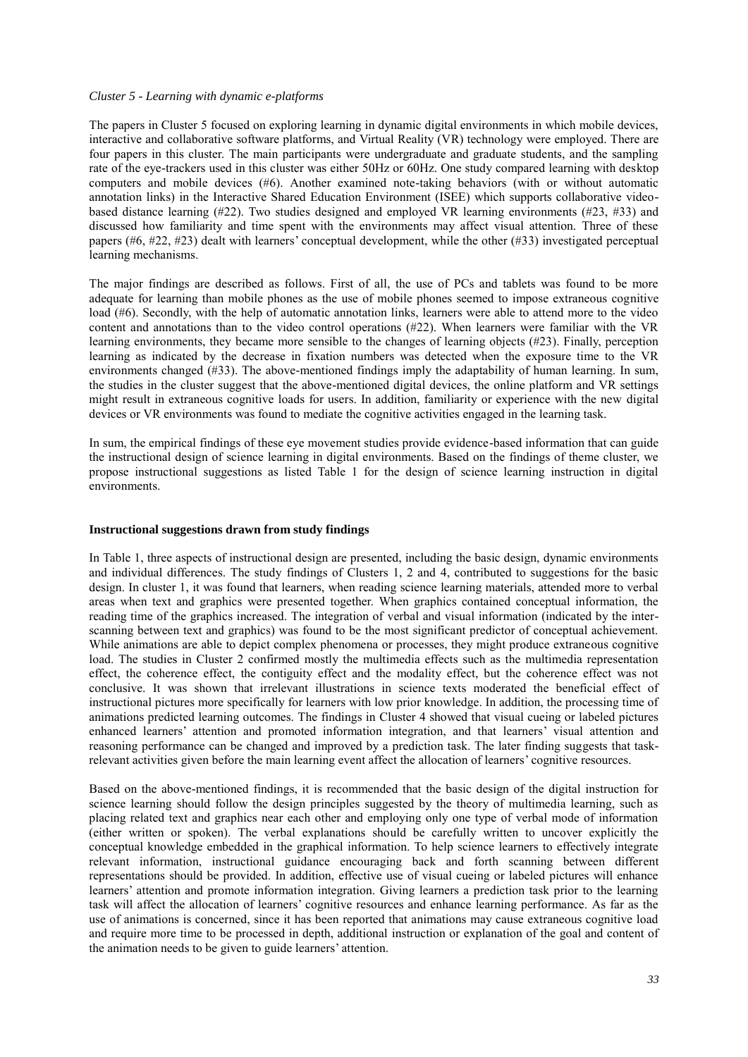#### *Cluster 5 - Learning with dynamic e-platforms*

The papers in Cluster 5 focused on exploring learning in dynamic digital environments in which mobile devices, interactive and collaborative software platforms, and Virtual Reality (VR) technology were employed. There are four papers in this cluster. The main participants were undergraduate and graduate students, and the sampling rate of the eye-trackers used in this cluster was either 50Hz or 60Hz. One study compared learning with desktop computers and mobile devices (#6). Another examined note-taking behaviors (with or without automatic annotation links) in the Interactive Shared Education Environment (ISEE) which supports collaborative videobased distance learning (#22). Two studies designed and employed VR learning environments (#23, #33) and discussed how familiarity and time spent with the environments may affect visual attention. Three of these papers (#6, #22, #23) dealt with learners' conceptual development, while the other (#33) investigated perceptual learning mechanisms.

The major findings are described as follows. First of all, the use of PCs and tablets was found to be more adequate for learning than mobile phones as the use of mobile phones seemed to impose extraneous cognitive load (#6). Secondly, with the help of automatic annotation links, learners were able to attend more to the video content and annotations than to the video control operations (#22). When learners were familiar with the VR learning environments, they became more sensible to the changes of learning objects (#23). Finally, perception learning as indicated by the decrease in fixation numbers was detected when the exposure time to the VR environments changed (#33). The above-mentioned findings imply the adaptability of human learning. In sum, the studies in the cluster suggest that the above-mentioned digital devices, the online platform and VR settings might result in extraneous cognitive loads for users. In addition, familiarity or experience with the new digital devices or VR environments was found to mediate the cognitive activities engaged in the learning task.

In sum, the empirical findings of these eye movement studies provide evidence-based information that can guide the instructional design of science learning in digital environments. Based on the findings of theme cluster, we propose instructional suggestions as listed Table 1 for the design of science learning instruction in digital environments.

#### **Instructional suggestions drawn from study findings**

In Table 1, three aspects of instructional design are presented, including the basic design, dynamic environments and individual differences. The study findings of Clusters 1, 2 and 4, contributed to suggestions for the basic design. In cluster 1, it was found that learners, when reading science learning materials, attended more to verbal areas when text and graphics were presented together. When graphics contained conceptual information, the reading time of the graphics increased. The integration of verbal and visual information (indicated by the interscanning between text and graphics) was found to be the most significant predictor of conceptual achievement. While animations are able to depict complex phenomena or processes, they might produce extraneous cognitive load. The studies in Cluster 2 confirmed mostly the multimedia effects such as the multimedia representation effect, the coherence effect, the contiguity effect and the modality effect, but the coherence effect was not conclusive. It was shown that irrelevant illustrations in science texts moderated the beneficial effect of instructional pictures more specifically for learners with low prior knowledge. In addition, the processing time of animations predicted learning outcomes. The findings in Cluster 4 showed that visual cueing or labeled pictures enhanced learners' attention and promoted information integration, and that learners' visual attention and reasoning performance can be changed and improved by a prediction task. The later finding suggests that taskrelevant activities given before the main learning event affect the allocation of learners' cognitive resources.

Based on the above-mentioned findings, it is recommended that the basic design of the digital instruction for science learning should follow the design principles suggested by the theory of multimedia learning, such as placing related text and graphics near each other and employing only one type of verbal mode of information (either written or spoken). The verbal explanations should be carefully written to uncover explicitly the conceptual knowledge embedded in the graphical information. To help science learners to effectively integrate relevant information, instructional guidance encouraging back and forth scanning between different representations should be provided. In addition, effective use of visual cueing or labeled pictures will enhance learners' attention and promote information integration. Giving learners a prediction task prior to the learning task will affect the allocation of learners' cognitive resources and enhance learning performance. As far as the use of animations is concerned, since it has been reported that animations may cause extraneous cognitive load and require more time to be processed in depth, additional instruction or explanation of the goal and content of the animation needs to be given to guide learners' attention.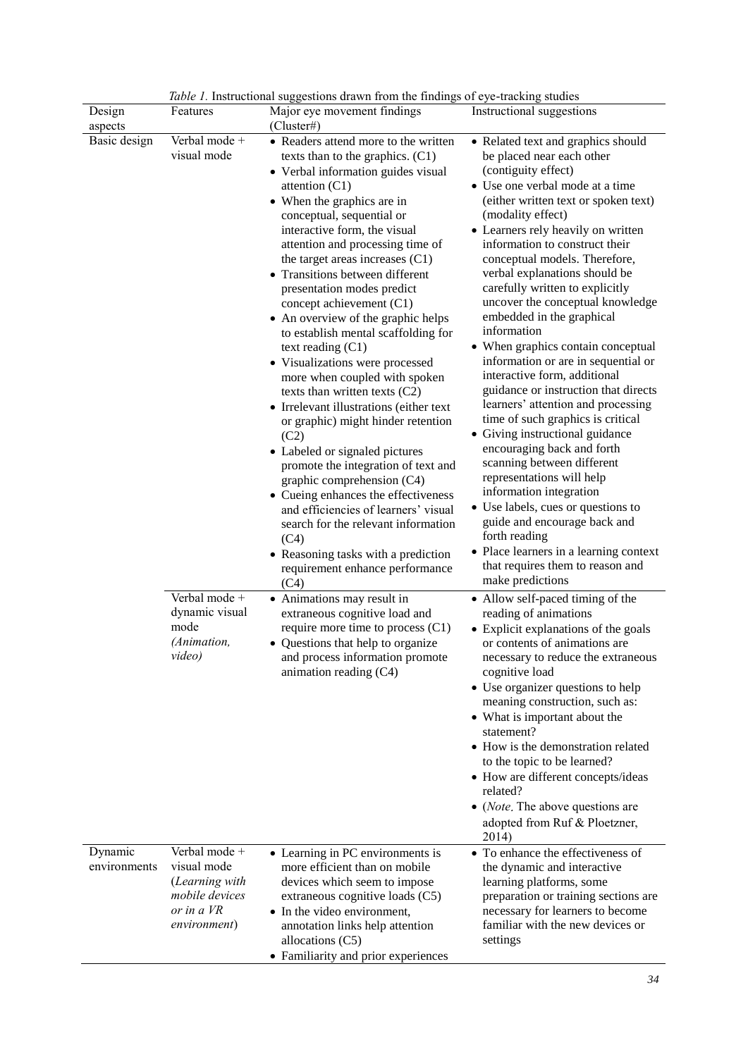|                         |                                                                                                       | <i>Table 1</i> . Instructional suggestions drawn from the findings of eye-tracking studies                                                                                                                                                                                                                                                                                                                                                                                                                                                                                                                                                                                                                                                                                                                                                                                                                                                                                                                                     |                                                                                                                                                                                                                                                                                                                                                                                                                                                                                                                                                                                                                                                                                                                                                                                                                                                                                                                                                                                                                                     |
|-------------------------|-------------------------------------------------------------------------------------------------------|--------------------------------------------------------------------------------------------------------------------------------------------------------------------------------------------------------------------------------------------------------------------------------------------------------------------------------------------------------------------------------------------------------------------------------------------------------------------------------------------------------------------------------------------------------------------------------------------------------------------------------------------------------------------------------------------------------------------------------------------------------------------------------------------------------------------------------------------------------------------------------------------------------------------------------------------------------------------------------------------------------------------------------|-------------------------------------------------------------------------------------------------------------------------------------------------------------------------------------------------------------------------------------------------------------------------------------------------------------------------------------------------------------------------------------------------------------------------------------------------------------------------------------------------------------------------------------------------------------------------------------------------------------------------------------------------------------------------------------------------------------------------------------------------------------------------------------------------------------------------------------------------------------------------------------------------------------------------------------------------------------------------------------------------------------------------------------|
| Design<br>aspects       | Features                                                                                              | Major eye movement findings<br>(Cluster#)                                                                                                                                                                                                                                                                                                                                                                                                                                                                                                                                                                                                                                                                                                                                                                                                                                                                                                                                                                                      | Instructional suggestions                                                                                                                                                                                                                                                                                                                                                                                                                                                                                                                                                                                                                                                                                                                                                                                                                                                                                                                                                                                                           |
| Basic design            | Verbal mode +<br>visual mode                                                                          | • Readers attend more to the written<br>texts than to the graphics. (C1)<br>• Verbal information guides visual<br>attention $(C1)$<br>• When the graphics are in<br>conceptual, sequential or<br>interactive form, the visual<br>attention and processing time of<br>the target areas increases $(C1)$<br>• Transitions between different<br>presentation modes predict<br>concept achievement (C1)<br>• An overview of the graphic helps<br>to establish mental scaffolding for<br>text reading $(C1)$<br>• Visualizations were processed<br>more when coupled with spoken<br>texts than written texts $(C2)$<br>• Irrelevant illustrations (either text<br>or graphic) might hinder retention<br>(C2)<br>• Labeled or signaled pictures<br>promote the integration of text and<br>graphic comprehension (C4)<br>• Cueing enhances the effectiveness<br>and efficiencies of learners' visual<br>search for the relevant information<br>(C4)<br>• Reasoning tasks with a prediction<br>requirement enhance performance<br>(C4) | • Related text and graphics should<br>be placed near each other<br>(contiguity effect)<br>• Use one verbal mode at a time<br>(either written text or spoken text)<br>(modality effect)<br>• Learners rely heavily on written<br>information to construct their<br>conceptual models. Therefore,<br>verbal explanations should be<br>carefully written to explicitly<br>uncover the conceptual knowledge<br>embedded in the graphical<br>information<br>• When graphics contain conceptual<br>information or are in sequential or<br>interactive form, additional<br>guidance or instruction that directs<br>learners' attention and processing<br>time of such graphics is critical<br>• Giving instructional guidance<br>encouraging back and forth<br>scanning between different<br>representations will help<br>information integration<br>• Use labels, cues or questions to<br>guide and encourage back and<br>forth reading<br>• Place learners in a learning context<br>that requires them to reason and<br>make predictions |
|                         | Verbal mode +<br>dynamic visual<br>mode<br>(Animation,<br>video)                                      | • Animations may result in<br>extraneous cognitive load and<br>require more time to process (C1)<br>• Questions that help to organize<br>and process information promote<br>animation reading (C4)                                                                                                                                                                                                                                                                                                                                                                                                                                                                                                                                                                                                                                                                                                                                                                                                                             | • Allow self-paced timing of the<br>reading of animations<br>• Explicit explanations of the goals<br>or contents of animations are<br>necessary to reduce the extraneous<br>cognitive load<br>• Use organizer questions to help<br>meaning construction, such as:<br>• What is important about the<br>statement?<br>• How is the demonstration related<br>to the topic to be learned?<br>• How are different concepts/ideas<br>related?<br>$\bullet$ ( <i>Note</i> , The above questions are<br>adopted from Ruf & Ploetzner,<br>2014)                                                                                                                                                                                                                                                                                                                                                                                                                                                                                              |
| Dynamic<br>environments | Verbal mode +<br>visual mode<br>(Learning with<br><i>mobile devices</i><br>or in a VR<br>environment) | • Learning in PC environments is<br>more efficient than on mobile<br>devices which seem to impose<br>extraneous cognitive loads (C5)<br>• In the video environment,<br>annotation links help attention<br>allocations $(C5)$<br>• Familiarity and prior experiences                                                                                                                                                                                                                                                                                                                                                                                                                                                                                                                                                                                                                                                                                                                                                            | • To enhance the effectiveness of<br>the dynamic and interactive<br>learning platforms, some<br>preparation or training sections are<br>necessary for learners to become<br>familiar with the new devices or<br>settings                                                                                                                                                                                                                                                                                                                                                                                                                                                                                                                                                                                                                                                                                                                                                                                                            |

*Table 1.* Instructional suggestions drawn from the findings of eye-tracking studies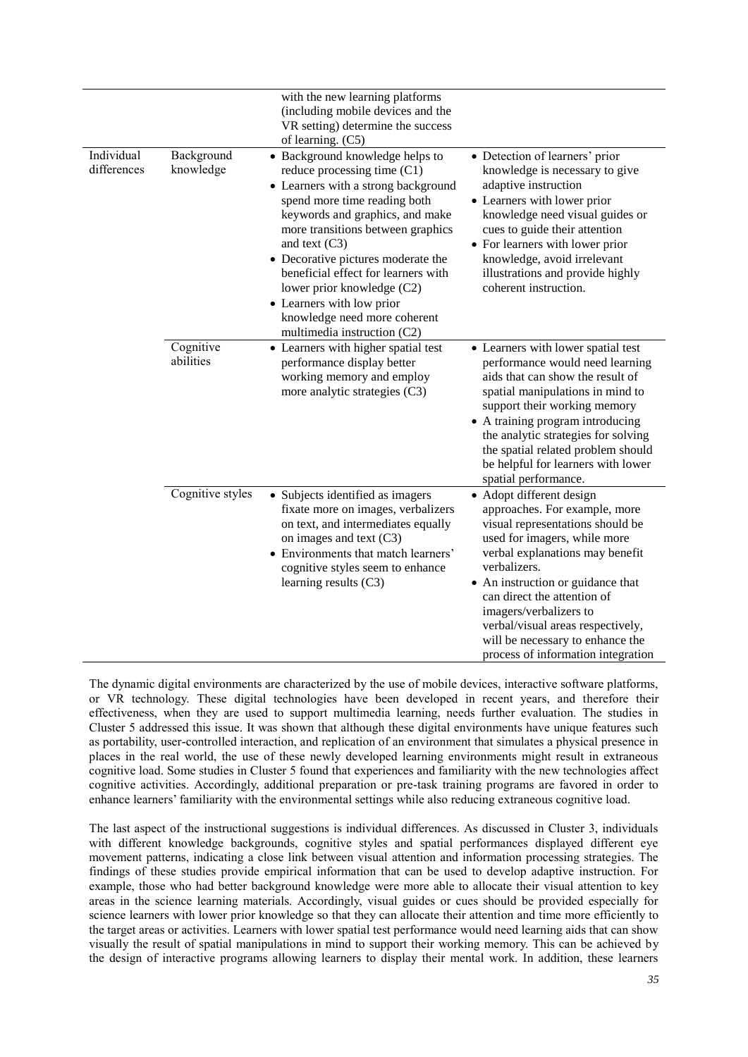| Individual<br>differences | Background<br>knowledge | with the new learning platforms<br>(including mobile devices and the<br>VR setting) determine the success<br>of learning. (C5)<br>• Background knowledge helps to<br>reduce processing time (C1)<br>• Learners with a strong background<br>spend more time reading both<br>keywords and graphics, and make<br>more transitions between graphics<br>and text $(C3)$<br>• Decorative pictures moderate the<br>beneficial effect for learners with<br>lower prior knowledge (C2)<br>• Learners with low prior<br>knowledge need more coherent<br>multimedia instruction (C2) | • Detection of learners' prior<br>knowledge is necessary to give<br>adaptive instruction<br>• Learners with lower prior<br>knowledge need visual guides or<br>cues to guide their attention<br>• For learners with lower prior<br>knowledge, avoid irrelevant<br>illustrations and provide highly<br>coherent instruction.                                                                    |
|---------------------------|-------------------------|---------------------------------------------------------------------------------------------------------------------------------------------------------------------------------------------------------------------------------------------------------------------------------------------------------------------------------------------------------------------------------------------------------------------------------------------------------------------------------------------------------------------------------------------------------------------------|-----------------------------------------------------------------------------------------------------------------------------------------------------------------------------------------------------------------------------------------------------------------------------------------------------------------------------------------------------------------------------------------------|
|                           | Cognitive<br>abilities  | • Learners with higher spatial test<br>performance display better<br>working memory and employ<br>more analytic strategies (C3)                                                                                                                                                                                                                                                                                                                                                                                                                                           | • Learners with lower spatial test<br>performance would need learning<br>aids that can show the result of<br>spatial manipulations in mind to<br>support their working memory<br>• A training program introducing<br>the analytic strategies for solving<br>the spatial related problem should<br>be helpful for learners with lower<br>spatial performance.                                  |
|                           | Cognitive styles        | • Subjects identified as imagers<br>fixate more on images, verbalizers<br>on text, and intermediates equally<br>on images and text $(C3)$<br>• Environments that match learners'<br>cognitive styles seem to enhance<br>learning results $(C3)$                                                                                                                                                                                                                                                                                                                           | • Adopt different design<br>approaches. For example, more<br>visual representations should be<br>used for imagers, while more<br>verbal explanations may benefit<br>verbalizers.<br>• An instruction or guidance that<br>can direct the attention of<br>imagers/verbalizers to<br>verbal/visual areas respectively,<br>will be necessary to enhance the<br>process of information integration |

The dynamic digital environments are characterized by the use of mobile devices, interactive software platforms, or VR technology. These digital technologies have been developed in recent years, and therefore their effectiveness, when they are used to support multimedia learning, needs further evaluation. The studies in Cluster 5 addressed this issue. It was shown that although these digital environments have unique features such as portability, user-controlled interaction, and replication of an environment that simulates a physical presence in places in the real world, the use of these newly developed learning environments might result in extraneous cognitive load. Some studies in Cluster 5 found that experiences and familiarity with the new technologies affect cognitive activities. Accordingly, additional preparation or pre-task training programs are favored in order to enhance learners' familiarity with the environmental settings while also reducing extraneous cognitive load.

The last aspect of the instructional suggestions is individual differences. As discussed in Cluster 3, individuals with different knowledge backgrounds, cognitive styles and spatial performances displayed different eye movement patterns, indicating a close link between visual attention and information processing strategies. The findings of these studies provide empirical information that can be used to develop adaptive instruction. For example, those who had better background knowledge were more able to allocate their visual attention to key areas in the science learning materials. Accordingly, visual guides or cues should be provided especially for science learners with lower prior knowledge so that they can allocate their attention and time more efficiently to the target areas or activities. Learners with lower spatial test performance would need learning aids that can show visually the result of spatial manipulations in mind to support their working memory. This can be achieved by the design of interactive programs allowing learners to display their mental work. In addition, these learners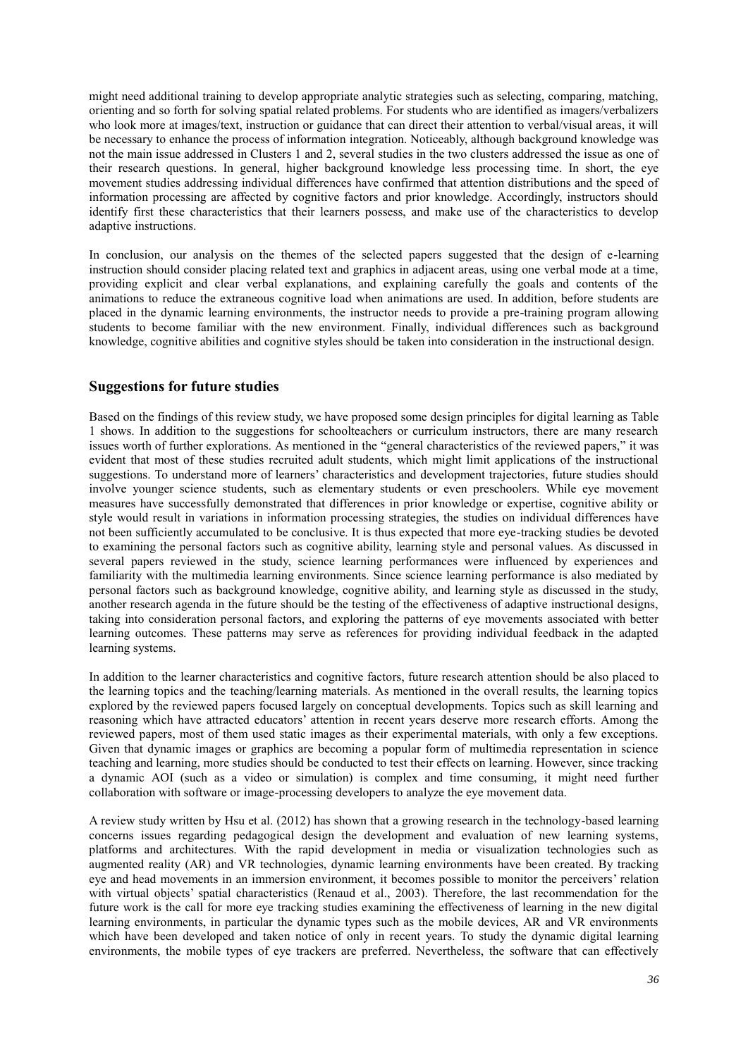might need additional training to develop appropriate analytic strategies such as selecting, comparing, matching, orienting and so forth for solving spatial related problems. For students who are identified as imagers/verbalizers who look more at images/text, instruction or guidance that can direct their attention to verbal/visual areas, it will be necessary to enhance the process of information integration. Noticeably, although background knowledge was not the main issue addressed in Clusters 1 and 2, several studies in the two clusters addressed the issue as one of their research questions. In general, higher background knowledge less processing time. In short, the eye movement studies addressing individual differences have confirmed that attention distributions and the speed of information processing are affected by cognitive factors and prior knowledge. Accordingly, instructors should identify first these characteristics that their learners possess, and make use of the characteristics to develop adaptive instructions.

In conclusion, our analysis on the themes of the selected papers suggested that the design of e-learning instruction should consider placing related text and graphics in adjacent areas, using one verbal mode at a time, providing explicit and clear verbal explanations, and explaining carefully the goals and contents of the animations to reduce the extraneous cognitive load when animations are used. In addition, before students are placed in the dynamic learning environments, the instructor needs to provide a pre-training program allowing students to become familiar with the new environment. Finally, individual differences such as background knowledge, cognitive abilities and cognitive styles should be taken into consideration in the instructional design.

# **Suggestions for future studies**

Based on the findings of this review study, we have proposed some design principles for digital learning as Table 1 shows. In addition to the suggestions for schoolteachers or curriculum instructors, there are many research issues worth of further explorations. As mentioned in the "general characteristics of the reviewed papers," it was evident that most of these studies recruited adult students, which might limit applications of the instructional suggestions. To understand more of learners' characteristics and development trajectories, future studies should involve younger science students, such as elementary students or even preschoolers. While eye movement measures have successfully demonstrated that differences in prior knowledge or expertise, cognitive ability or style would result in variations in information processing strategies, the studies on individual differences have not been sufficiently accumulated to be conclusive. It is thus expected that more eye-tracking studies be devoted to examining the personal factors such as cognitive ability, learning style and personal values. As discussed in several papers reviewed in the study, science learning performances were influenced by experiences and familiarity with the multimedia learning environments. Since science learning performance is also mediated by personal factors such as background knowledge, cognitive ability, and learning style as discussed in the study, another research agenda in the future should be the testing of the effectiveness of adaptive instructional designs, taking into consideration personal factors, and exploring the patterns of eye movements associated with better learning outcomes. These patterns may serve as references for providing individual feedback in the adapted learning systems.

In addition to the learner characteristics and cognitive factors, future research attention should be also placed to the learning topics and the teaching/learning materials. As mentioned in the overall results, the learning topics explored by the reviewed papers focused largely on conceptual developments. Topics such as skill learning and reasoning which have attracted educators' attention in recent years deserve more research efforts. Among the reviewed papers, most of them used static images as their experimental materials, with only a few exceptions. Given that dynamic images or graphics are becoming a popular form of multimedia representation in science teaching and learning, more studies should be conducted to test their effects on learning. However, since tracking a dynamic AOI (such as a video or simulation) is complex and time consuming, it might need further collaboration with software or image-processing developers to analyze the eye movement data.

A review study written by Hsu et al. (2012) has shown that a growing research in the technology-based learning concerns issues regarding pedagogical design the development and evaluation of new learning systems, platforms and architectures. With the rapid development in media or visualization technologies such as augmented reality (AR) and VR technologies, dynamic learning environments have been created. By tracking eye and head movements in an immersion environment, it becomes possible to monitor the perceivers' relation with virtual objects' spatial characteristics (Renaud et al., 2003). Therefore, the last recommendation for the future work is the call for more eye tracking studies examining the effectiveness of learning in the new digital learning environments, in particular the dynamic types such as the mobile devices, AR and VR environments which have been developed and taken notice of only in recent years. To study the dynamic digital learning environments, the mobile types of eye trackers are preferred. Nevertheless, the software that can effectively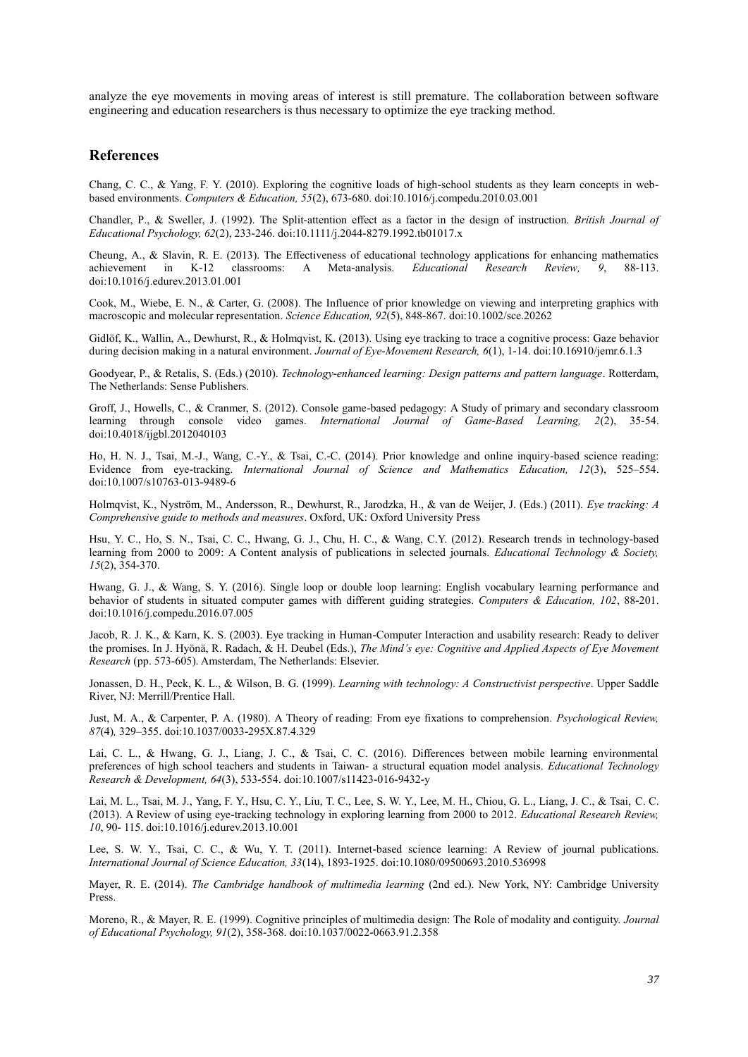analyze the eye movements in moving areas of interest is still premature. The collaboration between software engineering and education researchers is thus necessary to optimize the eye tracking method.

# **References**

Chang, C. C., & Yang, F. Y. (2010). Exploring the cognitive loads of high-school students as they learn concepts in webbased environments. *Computers & Education, 55*(2), 673-680. doi:10.1016/j.compedu.2010.03.001

Chandler, P., & Sweller, J. (1992). The Split-attention effect as a factor in the design of instruction. *British Journal of Educational Psychology, 62*(2), 233-246. doi:10.1111/j.2044-8279.1992.tb01017.x

Cheung, A., & Slavin, R. E. (2013). The Effectiveness of educational technology applications for enhancing mathematics achievement in K-12 classrooms: A Meta-analysis. *Educational Research Review, 9*, 88-113. doi:10.1016/j.edurev.2013.01.001

Cook, M., Wiebe, E. N., & Carter, G. (2008). The Influence of prior knowledge on viewing and interpreting graphics with macroscopic and molecular representation. *Science Education, 92*(5), 848-867. doi:10.1002/sce.20262

Gidlöf, K., Wallin, A., Dewhurst, R., & Holmqvist, K. (2013). Using eye tracking to trace a cognitive process: Gaze behavior during decision making in a natural environment. *Journal of Eye-Movement Research, 6*(1), 1-14. doi:10.16910/jemr.6.1.3

Goodyear, P., & Retalis, S. (Eds.) (2010). *Technology-enhanced learning: Design patterns and pattern language*. Rotterdam, The Netherlands: Sense Publishers.

Groff, J., Howells, C., & Cranmer, S. (2012). Console game-based pedagogy: A Study of primary and secondary classroom learning through console video games. *International Journal of Game-Based Learning, 2*(2), 35-54. doi:10.4018/ijgbl.2012040103

Ho, H. N. J., Tsai, M.-J., Wang, C.-Y., & Tsai, C.-C. (2014). Prior knowledge and online inquiry-based science reading: Evidence from eye-tracking. *International Journal of Science and Mathematics Education, 12*(3), 525–554. doi:10.1007/s10763-013-9489-6

Holmqvist, K., Nyström, M., Andersson, R., Dewhurst, R., Jarodzka, H., & van de Weijer, J. (Eds.) (2011). *Eye tracking: A Comprehensive guide to methods and measures*. Oxford, UK: Oxford University Press

Hsu, Y. C., Ho, S. N., Tsai, C. C., Hwang, G. J., Chu, H. C., & Wang, C.Y. (2012). Research trends in technology-based learning from 2000 to 2009: A Content analysis of publications in selected journals. *Educational Technology & Society, 15*(2), 354-370.

Hwang, G. J., & Wang, S. Y. (2016). Single loop or double loop learning: English vocabulary learning performance and behavior of students in situated computer games with different guiding strategies. *Computers & Education, 102*, 88-201. doi:10.1016/j.compedu.2016.07.005

Jacob, R. J. K., & Karn, K. S. (2003). Eye tracking in Human-Computer Interaction and usability research: Ready to deliver the promises. In J. Hyönä, R. Radach, & H. Deubel (Eds.), *The Mind's eye: Cognitive and Applied Aspects of Eye Movement Research* (pp. 573-605). Amsterdam, The Netherlands: Elsevier.

Jonassen, D. H., Peck, K. L., & Wilson, B. G. (1999). *Learning with technology: A Constructivist perspective*. Upper Saddle River, NJ: Merrill/Prentice Hall.

Just, M. A., & Carpenter, P. A. (1980). A Theory of reading: From eye fixations to comprehension. *Psychological Review, 87*(4)*,* 329–355. doi:10.1037/0033-295X.87.4.329

Lai, C. L., & Hwang, G. J., Liang, J. C., & Tsai, C. C. (2016). Differences between mobile learning environmental preferences of high school teachers and students in Taiwan- a structural equation model analysis. *Educational Technology Research & Development, 64*(3), 533-554. doi:10.1007/s11423-016-9432-y

Lai, M. L., Tsai, M. J., Yang, F. Y., Hsu, C. Y., Liu, T. C., Lee, S. W. Y., Lee, M. H., Chiou, G. L., Liang, J. C., & Tsai, C. C. (2013). A Review of using eye-tracking technology in exploring learning from 2000 to 2012. *Educational Research Review, 10*, 90- 115. doi:10.1016/j.edurev.2013.10.001

Lee, S. W. Y., Tsai, C. C., & Wu, Y. T. (2011). Internet-based science learning: A Review of journal publications. *International Journal of Science Education, 33*(14), 1893-1925. doi:10.1080/09500693.2010.536998

Mayer, R. E. (2014). *The Cambridge handbook of multimedia learning* (2nd ed.). New York, NY: Cambridge University Press.

Moreno, R., & Mayer, R. E. (1999). Cognitive principles of multimedia design: The Role of modality and contiguity. *Journal of Educational Psychology, 91*(2), 358-368. doi:10.1037/0022-0663.91.2.358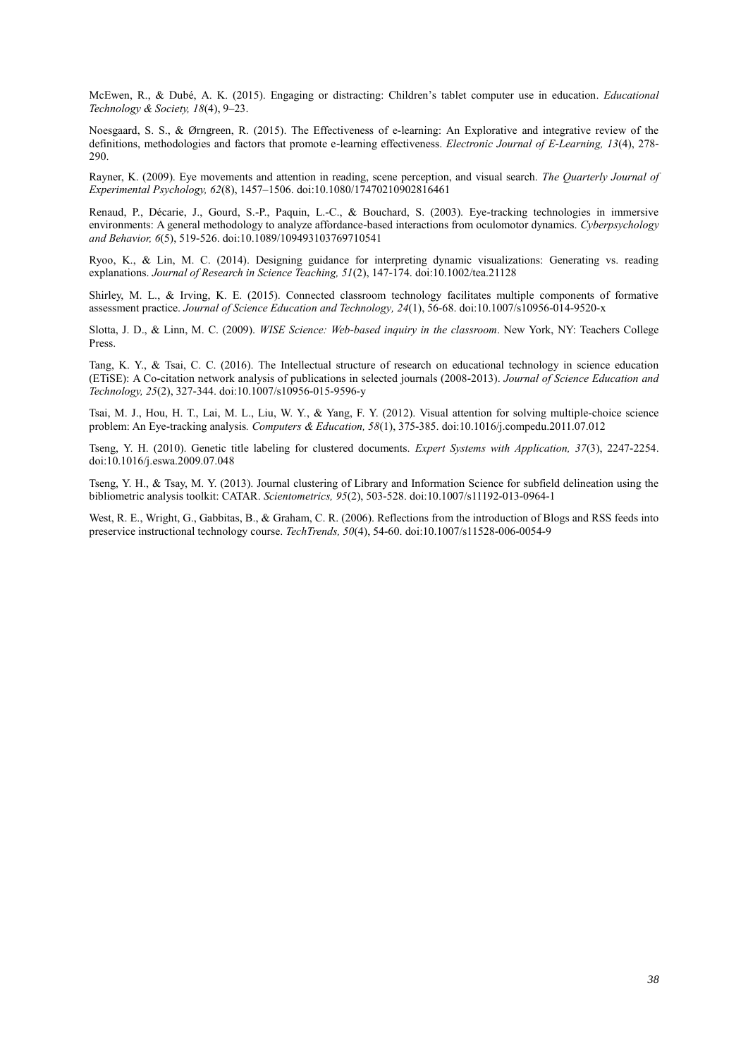McEwen, R., & Dubé, A. K. (2015). Engaging or distracting: Children's tablet computer use in education. *Educational Technology & Society, 18*(4), 9–23.

Noesgaard, S. S., & Ørngreen, R. (2015). The Effectiveness of e-learning: An Explorative and integrative review of the definitions, methodologies and factors that promote e-learning effectiveness. *Electronic Journal of E-Learning, 13*(4), 278- 290.

Rayner, K. (2009). Eye movements and attention in reading, scene perception, and visual search. *The Quarterly Journal of Experimental Psychology, 62*(8), 1457–1506. doi:10.1080/17470210902816461

Renaud, P., Décarie, J., Gourd, S.-P., Paquin, L.-C., & Bouchard, S. (2003). Eye-tracking technologies in immersive environments: A general methodology to analyze affordance-based interactions from oculomotor dynamics. *Cyberpsychology and Behavior, 6*(5), 519-526. doi:10.1089/109493103769710541

Ryoo, K., & Lin, M. C. (2014). Designing guidance for interpreting dynamic visualizations: Generating vs. reading explanations. *Journal of Research in Science Teaching, 51*(2), 147-174. doi:10.1002/tea.21128

Shirley, M. L., & Irving, K. E. (2015). Connected classroom technology facilitates multiple components of formative assessment practice. *Journal of Science Education and Technology, 24*(1), 56-68. doi:10.1007/s10956-014-9520-x

Slotta, J. D., & Linn, M. C. (2009). *WISE Science: Web-based inquiry in the classroom*. New York, NY: Teachers College Press.

Tang, K. Y., & Tsai, C. C. (2016). The Intellectual structure of research on educational technology in science education (ETiSE): A Co-citation network analysis of publications in selected journals (2008-2013). *Journal of Science Education and Technology, 25*(2), 327-344. doi:10.1007/s10956-015-9596-y

Tsai, M. J., Hou, H. T., Lai, M. L., Liu, W. Y., & Yang, F. Y. (2012). Visual attention for solving multiple-choice science problem: An Eye-tracking analysis*. Computers & Education, 58*(1), 375-385. doi:10.1016/j.compedu.2011.07.012

Tseng, Y. H. (2010). Genetic title labeling for clustered documents. *Expert Systems with Application, 37*(3), 2247-2254. doi:10.1016/j.eswa.2009.07.048

Tseng, Y. H., & Tsay, M. Y. (2013). Journal clustering of Library and Information Science for subfield delineation using the bibliometric analysis toolkit: CATAR. *Scientometrics, 95*(2), 503-528. doi:10.1007/s11192-013-0964-1

West, R. E., Wright, G., Gabbitas, B., & Graham, C. R. (2006). Reflections from the introduction of Blogs and RSS feeds into preservice instructional technology course. *TechTrends, 50*(4), 54-60. doi:10.1007/s11528-006-0054-9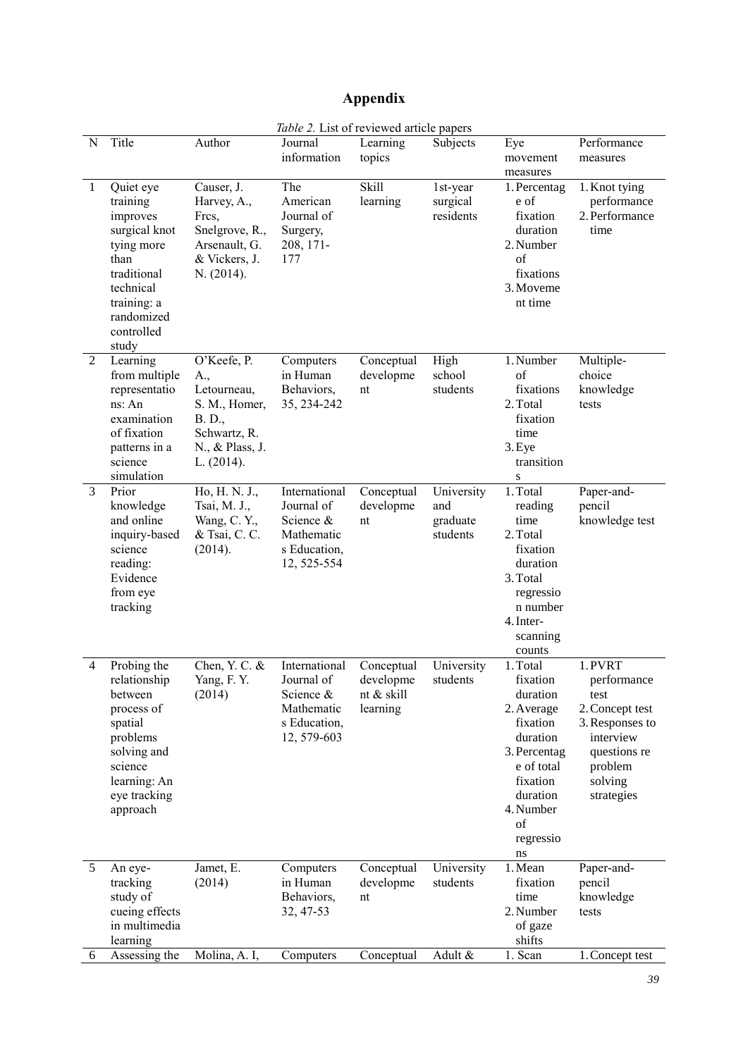# **Appendix**

|                |                                                                                                                                                          |                                                                                                               | Table 2. List of reviewed article papers                                              |                                                   |                                           |                                                                                                                                                                    |                                                                                                                                       |
|----------------|----------------------------------------------------------------------------------------------------------------------------------------------------------|---------------------------------------------------------------------------------------------------------------|---------------------------------------------------------------------------------------|---------------------------------------------------|-------------------------------------------|--------------------------------------------------------------------------------------------------------------------------------------------------------------------|---------------------------------------------------------------------------------------------------------------------------------------|
| N              | Title                                                                                                                                                    | Author                                                                                                        | Journal<br>information                                                                | Learning<br>topics                                | Subjects                                  | Eye<br>movement<br>measures                                                                                                                                        | Performance<br>measures                                                                                                               |
| $\mathbf{1}$   | Quiet eye<br>training<br>improves<br>surgical knot<br>tying more<br>than<br>traditional<br>technical<br>training: a<br>randomized<br>controlled<br>study | Causer, J.<br>Harvey, A.,<br>Fres,<br>Snelgrove, R.,<br>Arsenault, G.<br>& Vickers, J.<br>N. (2014).          | The<br>American<br>Journal of<br>Surgery,<br>208, 171-<br>177                         | Skill<br>learning                                 | 1st-year<br>surgical<br>residents         | 1. Percentag<br>e of<br>fixation<br>duration<br>2. Number<br>of<br>fixations<br>3. Moveme<br>nt time                                                               | 1. Knot tying<br>performance<br>2. Performance<br>time                                                                                |
| 2              | Learning<br>from multiple<br>representatio<br>ns: An<br>examination<br>of fixation<br>patterns in a<br>science<br>simulation                             | O'Keefe, P.<br>A.,<br>Letourneau,<br>S. M., Homer,<br>B. D.,<br>Schwartz, R.<br>N., & Plass, J.<br>L. (2014). | Computers<br>in Human<br>Behaviors,<br>35, 234-242                                    | Conceptual<br>developme<br>nt                     | $\overline{High}$<br>school<br>students   | 1. Number<br>$\sigma$ f<br>fixations<br>2. Total<br>fixation<br>time<br>3. Eye<br>transition<br>S                                                                  | Multiple-<br>choice<br>knowledge<br>tests                                                                                             |
| $\overline{3}$ | Prior<br>knowledge<br>and online<br>inquiry-based<br>science<br>reading:<br>Evidence<br>from eye<br>tracking                                             | Ho, H. N. J.,<br>Tsai, M. J.,<br>Wang, C. Y.,<br>& Tsai, C. C.<br>(2014).                                     | International<br>Journal of<br>Science &<br>Mathematic<br>s Education,<br>12, 525-554 | Conceptual<br>developme<br>nt                     | University<br>and<br>graduate<br>students | 1. Total<br>reading<br>time<br>2. Total<br>fixation<br>duration<br>3. Total<br>regressio<br>n number<br>4. Inter-<br>scanning<br>counts                            | Paper-and-<br>pencil<br>knowledge test                                                                                                |
| 4              | Probing the<br>relationship<br>between<br>process of<br>spatial<br>problems<br>solving and<br>science<br>learning: An<br>eye tracking<br>approach        | Chen, Y. C. &<br>Yang, F.Y.<br>(2014)                                                                         | International<br>Journal of<br>Science &<br>Mathematic<br>s Education,<br>12, 579-603 | Conceptual<br>developme<br>nt & skill<br>learning | University<br>students                    | 1. Total<br>fixation<br>duration<br>2. Average<br>fixation<br>duration<br>3. Percentag<br>e of total<br>fixation<br>duration<br>4. Number<br>of<br>regressio<br>ns | 1. PVRT<br>performance<br>test<br>2. Concept test<br>3. Responses to<br>interview<br>questions re<br>problem<br>solving<br>strategies |
| 5              | An eye-<br>tracking<br>study of<br>cueing effects<br>in multimedia<br>learning                                                                           | Jamet, E.<br>(2014)                                                                                           | Computers<br>in Human<br>Behaviors,<br>32, 47-53                                      | Conceptual<br>developme<br>nt                     | University<br>students                    | 1. Mean<br>fixation<br>time<br>2. Number<br>of gaze<br>shifts                                                                                                      | Paper-and-<br>pencil<br>knowledge<br>tests                                                                                            |
| 6              | Assessing the                                                                                                                                            | Molina, A. I,                                                                                                 | Computers                                                                             | Conceptual                                        | Adult &                                   | 1. Scan                                                                                                                                                            | 1. Concept test                                                                                                                       |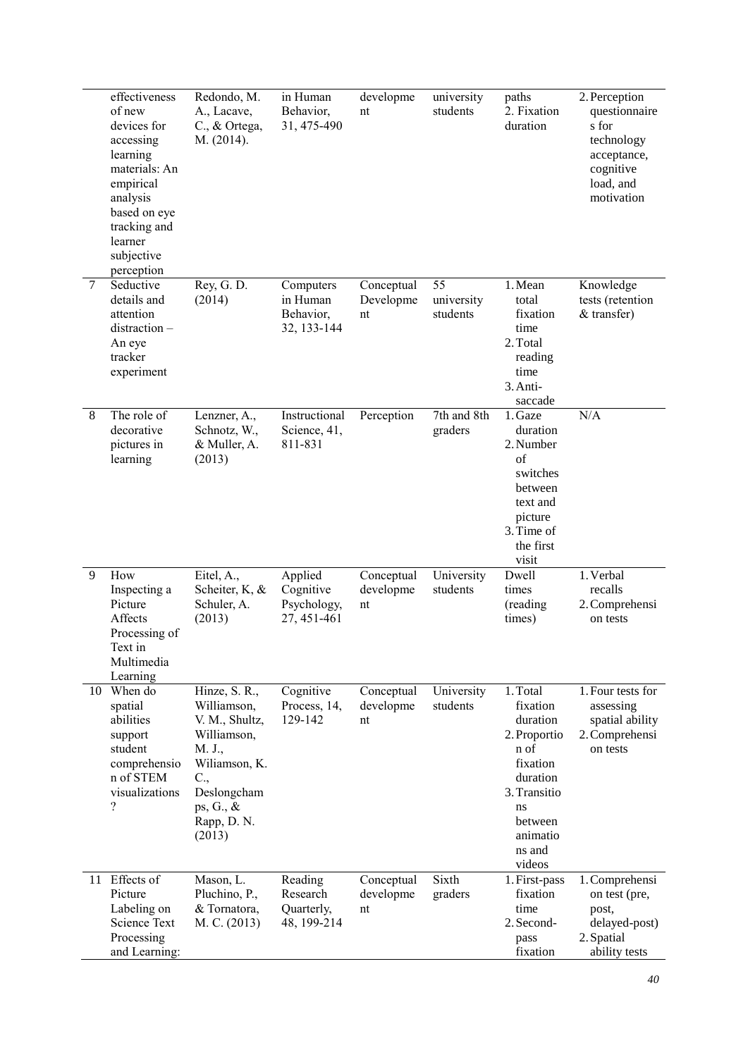|                | effectiveness<br>of new<br>devices for<br>accessing<br>learning<br>materials: An<br>empirical<br>analysis<br>based on eye<br>tracking and<br>learner<br>subjective | Redondo, M.<br>A., Lacave,<br>C., & Ortega,<br>M. (2014).                                                                                            | in Human<br>Behavior,<br>31, 475-490               | developme<br>nt               | university<br>students       | paths<br>2. Fixation<br>duration                                                                                                                  | 2. Perception<br>questionnaire<br>s for<br>technology<br>acceptance,<br>cognitive<br>load, and<br>motivation |
|----------------|--------------------------------------------------------------------------------------------------------------------------------------------------------------------|------------------------------------------------------------------------------------------------------------------------------------------------------|----------------------------------------------------|-------------------------------|------------------------------|---------------------------------------------------------------------------------------------------------------------------------------------------|--------------------------------------------------------------------------------------------------------------|
| $\overline{7}$ | perception<br>Seductive<br>details and<br>attention<br>distraction-<br>An eye<br>tracker<br>experiment                                                             | Rey, G. D.<br>(2014)                                                                                                                                 | Computers<br>in Human<br>Behavior,<br>32, 133-144  | Conceptual<br>Developme<br>nt | 55<br>university<br>students | 1. Mean<br>total<br>fixation<br>time<br>2. Total<br>reading<br>time<br>3. Anti-<br>saccade                                                        | Knowledge<br>tests (retention<br>& transfer)                                                                 |
| $\,8\,$        | The role of<br>decorative<br>pictures in<br>learning                                                                                                               | Lenzner, A.,<br>Schnotz, W.,<br>& Muller, A.<br>(2013)                                                                                               | Instructional<br>Science, 41,<br>811-831           | Perception                    | 7th and 8th<br>graders       | 1. Gaze<br>duration<br>2. Number<br>of<br>switches<br>between<br>text and<br>picture<br>3. Time of<br>the first<br>visit                          | N/A                                                                                                          |
| 9              | How<br>Inspecting a<br>Picture<br>Affects<br>Processing of<br>Text in<br>Multimedia<br>Learning                                                                    | Eitel, A.,<br>Scheiter, K, &<br>Schuler, A.<br>(2013)                                                                                                | Applied<br>Cognitive<br>Psychology,<br>27, 451-461 | Conceptual<br>developme<br>nt | University<br>students       | Dwell<br>times<br>(reading<br>times)                                                                                                              | 1. Verbal<br>recalls<br>2. Comprehensi<br>on tests                                                           |
| 10             | When do<br>spatial<br>abilities<br>support<br>student<br>comprehensio<br>n of STEM<br>visualizations<br>?                                                          | Hinze, S. R.,<br>Williamson,<br>V. M., Shultz,<br>Williamson,<br>M. J.,<br>Wiliamson, K.<br>C.,<br>Deslongcham<br>ps, G., &<br>Rapp, D. N.<br>(2013) | Cognitive<br>Process, 14,<br>129-142               | Conceptual<br>developme<br>nt | University<br>students       | 1. Total<br>fixation<br>duration<br>2. Proportio<br>n of<br>fixation<br>duration<br>3. Transitio<br>ns<br>between<br>animatio<br>ns and<br>videos | 1. Four tests for<br>assessing<br>spatial ability<br>2. Comprehensi<br>on tests                              |
| 11             | Effects of<br>Picture<br>Labeling on<br><b>Science Text</b><br>Processing<br>and Learning:                                                                         | Mason, L.<br>Pluchino, P.,<br>& Tornatora,<br>M. C. (2013)                                                                                           | Reading<br>Research<br>Quarterly,<br>48, 199-214   | Conceptual<br>developme<br>nt | Sixth<br>graders             | 1. First-pass<br>fixation<br>time<br>2. Second-<br>pass<br>fixation                                                                               | 1. Comprehensi<br>on test (pre,<br>post,<br>delayed-post)<br>2. Spatial<br>ability tests                     |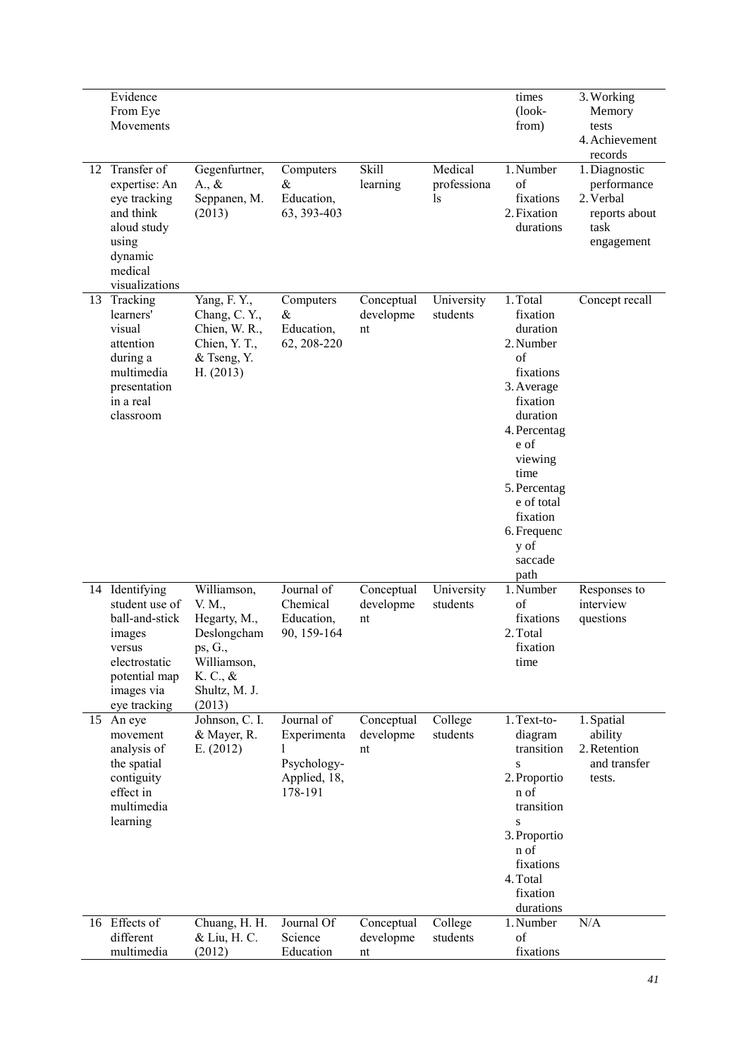| 12 | Evidence<br>From Eye<br>Movements<br>Transfer of<br>expertise: An<br>eye tracking<br>and think<br>aloud study<br>using<br>dynamic<br>medical<br>visualizations | Gegenfurtner,<br>$A_{\cdot}, \&$<br>Seppanen, M.<br>(2013)                                                            | Computers<br>&<br>Education,<br>63, 393-403                         | Skill<br>learning             | Medical<br>professiona<br>ls | times<br>$(look-$<br>from)<br>1. Number<br>$\sigma$ f<br>fixations<br>2. Fixation<br>durations                                                                                                                                        | 3. Working<br>Memory<br>tests<br>4. Achievement<br>records<br>1. Diagnostic<br>performance<br>2. Verbal<br>reports about<br>task<br>engagement |
|----|----------------------------------------------------------------------------------------------------------------------------------------------------------------|-----------------------------------------------------------------------------------------------------------------------|---------------------------------------------------------------------|-------------------------------|------------------------------|---------------------------------------------------------------------------------------------------------------------------------------------------------------------------------------------------------------------------------------|------------------------------------------------------------------------------------------------------------------------------------------------|
| 13 | Tracking<br>learners'<br>visual<br>attention<br>during a<br>multimedia<br>presentation<br>in a real<br>classroom                                               | Yang, F.Y.,<br>Chang, C.Y.,<br>Chien, W. R.,<br>Chien, Y. T.,<br>& Tseng, Y.<br>H. (2013)                             | Computers<br>&<br>Education,<br>62, 208-220                         | Conceptual<br>developme<br>nt | University<br>students       | 1. Total<br>fixation<br>duration<br>2. Number<br>of<br>fixations<br>3. Average<br>fixation<br>duration<br>4. Percentag<br>e of<br>viewing<br>time<br>5. Percentag<br>e of total<br>fixation<br>6. Frequenc<br>y of<br>saccade<br>path | Concept recall                                                                                                                                 |
|    | 14 Identifying<br>student use of<br>ball-and-stick<br>images<br>versus<br>electrostatic<br>potential map<br>images via<br>eye tracking                         | Williamson,<br>V. M.,<br>Hegarty, M.,<br>Deslongcham<br>ps, G.,<br>Williamson,<br>K. C., &<br>Shultz, M. J.<br>(2013) | Journal of<br>Chemical<br>Education,<br>90, 159-164                 | Conceptual<br>developme<br>nt | University<br>students       | 1. Number<br>of<br>fixations<br>2. Total<br>fixation<br>time                                                                                                                                                                          | Responses to<br>interview<br>questions                                                                                                         |
| 15 | An eye<br>movement<br>analysis of<br>the spatial<br>contiguity<br>effect in<br>multimedia<br>learning                                                          | Johnson, C. I.<br>& Mayer, R.<br>E. (2012)                                                                            | Journal of<br>Experimenta<br>Psychology-<br>Applied, 18,<br>178-191 | Conceptual<br>developme<br>nt | College<br>students          | 1. Text-to-<br>diagram<br>transition<br>S<br>2. Proportio<br>n of<br>transition<br>S<br>3. Proportio<br>n of<br>fixations<br>4. Total<br>fixation<br>durations                                                                        | 1. Spatial<br>ability<br>2. Retention<br>and transfer<br>tests.                                                                                |
|    | 16 Effects of<br>different<br>multimedia                                                                                                                       | Chuang, H. H.<br>& Liu, H. C.<br>(2012)                                                                               | Journal Of<br>Science<br>Education                                  | Conceptual<br>developme<br>nt | College<br>students          | 1. Number<br>of<br>fixations                                                                                                                                                                                                          | N/A                                                                                                                                            |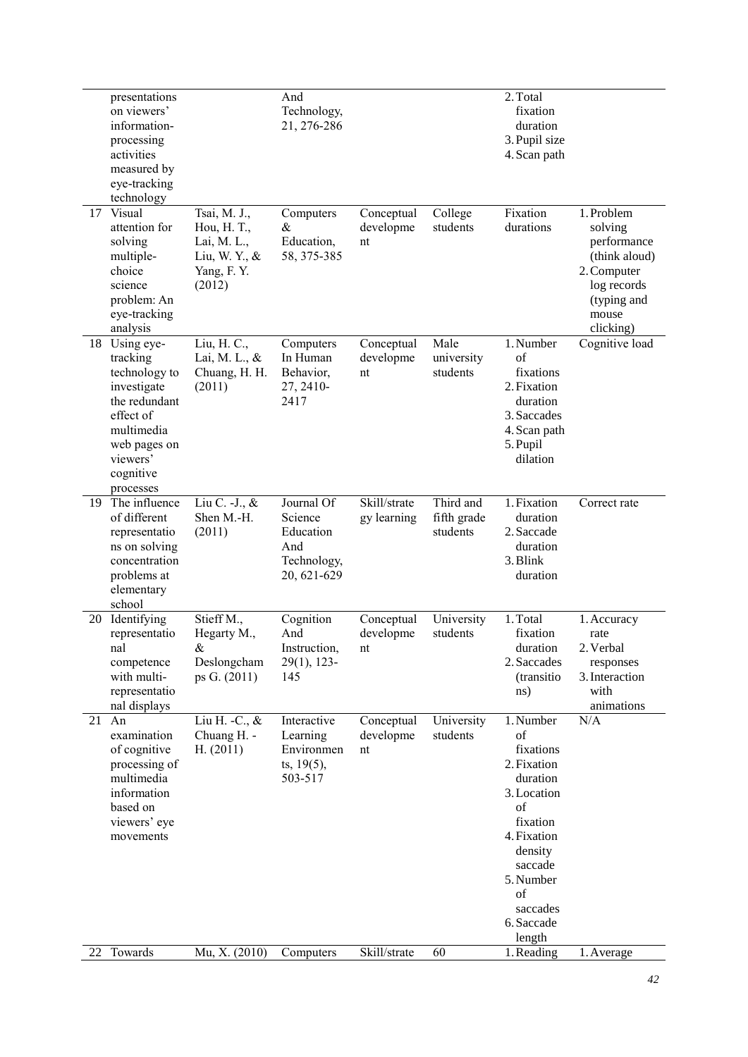|    | presentations<br>on viewers'<br>information-<br>processing<br>activities<br>measured by<br>eye-tracking<br>technology                                    |                                                                                     | And<br>Technology,<br>21, 276-286                                       |                               |                                      | 2. Total<br>fixation<br>duration<br>3. Pupil size<br>4. Scan path                                                                                                                                  |                                                                                                                          |
|----|----------------------------------------------------------------------------------------------------------------------------------------------------------|-------------------------------------------------------------------------------------|-------------------------------------------------------------------------|-------------------------------|--------------------------------------|----------------------------------------------------------------------------------------------------------------------------------------------------------------------------------------------------|--------------------------------------------------------------------------------------------------------------------------|
| 17 | Visual<br>attention for<br>solving<br>multiple-<br>choice<br>science<br>problem: An<br>eye-tracking<br>analysis                                          | Tsai, M. J.,<br>Hou, H. T.,<br>Lai, M. L.,<br>Liu, W. Y., &<br>Yang, F.Y.<br>(2012) | Computers<br>&<br>Education,<br>58, 375-385                             | Conceptual<br>developme<br>nt | College<br>students                  | Fixation<br>durations                                                                                                                                                                              | 1. Problem<br>solving<br>performance<br>(think aloud)<br>2. Computer<br>log records<br>(typing and<br>mouse<br>clicking) |
| 18 | Using eye-<br>tracking<br>technology to<br>investigate<br>the redundant<br>effect of<br>multimedia<br>web pages on<br>viewers'<br>cognitive<br>processes | Liu, H. C.,<br>Lai, M. L., &<br>Chuang, H. H.<br>(2011)                             | Computers<br>In Human<br>Behavior,<br>27, 2410-<br>2417                 | Conceptual<br>developme<br>nt | Male<br>university<br>students       | 1. Number<br>of<br>fixations<br>2. Fixation<br>duration<br>3. Saccades<br>4. Scan path<br>5. Pupil<br>dilation                                                                                     | Cognitive load                                                                                                           |
| 19 | The influence<br>of different<br>representatio<br>ns on solving<br>concentration<br>problems at<br>elementary<br>school                                  | Liu C. - J., &<br>Shen M.-H.<br>(2011)                                              | Journal Of<br>Science<br>Education<br>And<br>Technology,<br>20, 621-629 | Skill/strate<br>gy learning   | Third and<br>fifth grade<br>students | 1. Fixation<br>duration<br>2. Saccade<br>duration<br>3. Blink<br>duration                                                                                                                          | Correct rate                                                                                                             |
| 20 | Identifying<br>representatio<br>nal<br>competence<br>with multi-<br>representatio<br>nal displays                                                        | Stieff M.,<br>Hegarty M.,<br>$\&$<br>Deslongcham<br>ps G. (2011)                    | Cognition<br>And<br>Instruction,<br>$29(1)$ , 123-<br>145               | Conceptual<br>developme<br>nt | University<br>students               | 1. Total<br>fixation<br>duration<br>2. Saccades<br>(transitio<br>ns)                                                                                                                               | 1. Accuracy<br>rate<br>2. Verbal<br>responses<br>3. Interaction<br>with<br>animations                                    |
| 21 | An<br>examination<br>of cognitive<br>processing of<br>multimedia<br>information<br>based on<br>viewers' eye<br>movements                                 | Liu H. - C., &<br>Chuang H. -<br>H. (2011)                                          | Interactive<br>Learning<br>Environmen<br>ts, $19(5)$ ,<br>503-517       | Conceptual<br>developme<br>nt | University<br>students               | $\overline{1}$ . Number<br>of<br>fixations<br>2. Fixation<br>duration<br>3. Location<br>of<br>fixation<br>4. Fixation<br>density<br>saccade<br>5. Number<br>of<br>saccades<br>6. Saccade<br>length | N/A                                                                                                                      |
| 22 | Towards                                                                                                                                                  | Mu, X. (2010)                                                                       | Computers                                                               | Skill/strate                  | 60                                   | 1. Reading                                                                                                                                                                                         | 1. Average                                                                                                               |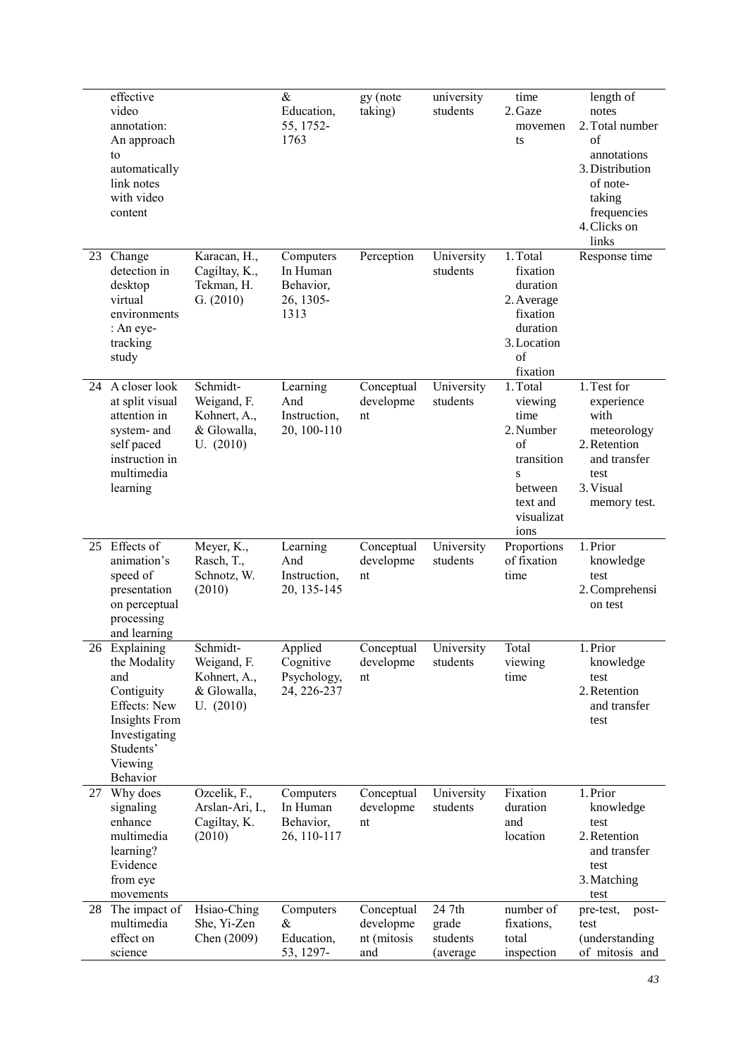|    | effective<br>video<br>annotation:<br>An approach<br>to<br>automatically<br>link notes<br>with video<br>content                           |                                                                     | $\&$<br>Education,<br>55, 1752-<br>1763                 | gy (note<br>taking)                           | university<br>students                   | time<br>2. Gaze<br>movemen<br>ts                                                                               | length of<br>notes<br>2. Total number<br>of<br>annotations<br>3. Distribution<br>of note-<br>taking<br>frequencies<br>4. Clicks on<br>links |
|----|------------------------------------------------------------------------------------------------------------------------------------------|---------------------------------------------------------------------|---------------------------------------------------------|-----------------------------------------------|------------------------------------------|----------------------------------------------------------------------------------------------------------------|---------------------------------------------------------------------------------------------------------------------------------------------|
| 23 | Change<br>detection in<br>desktop<br>virtual<br>environments<br>: An eye-<br>tracking<br>study                                           | Karacan, H.,<br>Cagiltay, K.,<br>Tekman, H.<br>G. (2010)            | Computers<br>In Human<br>Behavior,<br>26, 1305-<br>1313 | Perception                                    | University<br>students                   | 1. Total<br>fixation<br>duration<br>2. Average<br>fixation<br>duration<br>3. Location<br>of<br>fixation        | Response time                                                                                                                               |
|    | 24 A closer look<br>at split visual<br>attention in<br>system- and<br>self paced<br>instruction in<br>multimedia<br>learning             | Schmidt-<br>Weigand, F.<br>Kohnert, A.,<br>& Glowalla,<br>U. (2010) | Learning<br>And<br>Instruction,<br>20, 100-110          | Conceptual<br>developme<br>nt                 | University<br>students                   | 1. Total<br>viewing<br>time<br>2. Number<br>of<br>transition<br>S<br>between<br>text and<br>visualizat<br>ions | 1. Test for<br>experience<br>with<br>meteorology<br>2. Retention<br>and transfer<br>test<br>3. Visual<br>memory test.                       |
| 25 | Effects of<br>animation's<br>speed of<br>presentation<br>on perceptual<br>processing<br>and learning                                     | Meyer, K.,<br>Rasch, T.,<br>Schnotz, W.<br>(2010)                   | Learning<br>And<br>Instruction,<br>20, 135-145          | Conceptual<br>developme<br>nt                 | University<br>students                   | Proportions<br>of fixation<br>time                                                                             | 1. Prior<br>knowledge<br>test<br>2. Comprehensi<br>on test                                                                                  |
|    | 26 Explaining<br>the Modality<br>and<br>Contiguity<br>Effects: New<br>Insights From<br>Investigating<br>Students'<br>Viewing<br>Behavior | Schmidt-<br>Weigand, F.<br>Kohnert, A.,<br>& Glowalla,<br>U. (2010) | Applied<br>Cognitive<br>Psychology,<br>24, 226-237      | Conceptual<br>developme<br>nt                 | University<br>students                   | Total<br>viewing<br>time                                                                                       | 1. Prior<br>knowledge<br>test<br>2. Retention<br>and transfer<br>test                                                                       |
| 27 | Why does<br>signaling<br>enhance<br>multimedia<br>learning?<br>Evidence<br>from eye<br>movements                                         | Ozcelik, F.,<br>Arslan-Ari, I.,<br>Cagiltay, K.<br>(2010)           | Computers<br>In Human<br>Behavior,<br>26, 110-117       | Conceptual<br>developme<br>nt                 | University<br>students                   | Fixation<br>duration<br>and<br>location                                                                        | 1. Prior<br>knowledge<br>test<br>2. Retention<br>and transfer<br>test<br>3. Matching<br>test                                                |
| 28 | The impact of<br>multimedia<br>effect on<br>science                                                                                      | Hsiao-Ching<br>She, Yi-Zen<br>Chen (2009)                           | Computers<br>&<br>Education,<br>53, 1297-               | Conceptual<br>developme<br>nt (mitosis<br>and | 24 7th<br>grade<br>students<br>(average) | number of<br>fixations,<br>total<br>inspection                                                                 | pre-test,<br>post-<br>test<br>(understanding<br>of mitosis and                                                                              |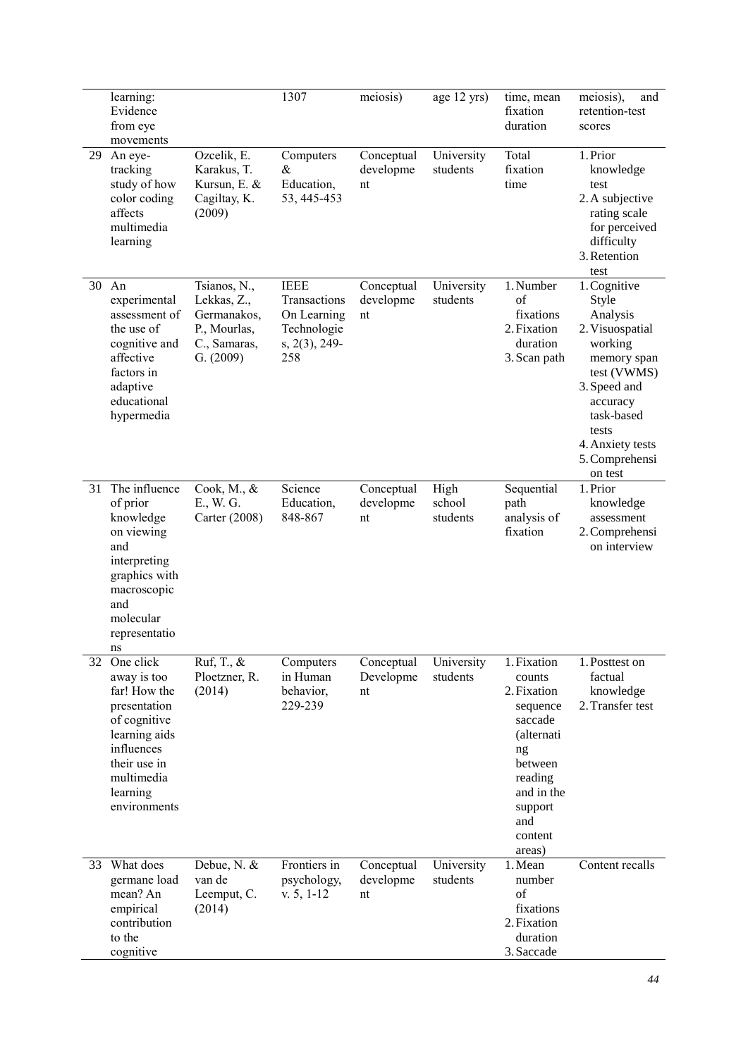|    | learning:<br>Evidence<br>from eye<br>movements                                                                                                                                  |                                                                                         | 1307                                                                                 | meiosis)                      | age 12 yrs)                | time, mean<br>fixation<br>duration                                                                                                                         | meiosis),<br>and<br>retention-test<br>scores                                                                                                                                                      |
|----|---------------------------------------------------------------------------------------------------------------------------------------------------------------------------------|-----------------------------------------------------------------------------------------|--------------------------------------------------------------------------------------|-------------------------------|----------------------------|------------------------------------------------------------------------------------------------------------------------------------------------------------|---------------------------------------------------------------------------------------------------------------------------------------------------------------------------------------------------|
| 29 | An eye-<br>tracking<br>study of how<br>color coding<br>affects<br>multimedia<br>learning                                                                                        | Ozcelik, E.<br>Karakus, T.<br>Kursun, E. &<br>Cagiltay, K.<br>(2009)                    | Computers<br>&<br>Education,<br>53, 445-453                                          | Conceptual<br>developme<br>nt | University<br>students     | Total<br>fixation<br>time                                                                                                                                  | 1. Prior<br>knowledge<br>test<br>2. A subjective<br>rating scale<br>for perceived<br>difficulty<br>3. Retention<br>test                                                                           |
| 30 | An<br>experimental<br>assessment of<br>the use of<br>cognitive and<br>affective<br>factors in<br>adaptive<br>educational<br>hypermedia                                          | Tsianos, N.,<br>Lekkas, Z.,<br>Germanakos,<br>P., Mourlas,<br>C., Samaras,<br>G. (2009) | <b>IEEE</b><br>Transactions<br>On Learning<br>Technologie<br>$s, 2(3), 249$ -<br>258 | Conceptual<br>developme<br>nt | University<br>students     | 1. Number<br>$\sigma$ f<br>fixations<br>2. Fixation<br>duration<br>3. Scan path                                                                            | 1. Cognitive<br>Style<br>Analysis<br>2. Visuospatial<br>working<br>memory span<br>test (VWMS)<br>3. Speed and<br>accuracy<br>task-based<br>tests<br>4. Anxiety tests<br>5. Comprehensi<br>on test |
| 31 | The influence<br>of prior<br>knowledge<br>on viewing<br>and<br>interpreting<br>graphics with<br>macroscopic<br>and<br>molecular<br>representatio<br>ns                          | Cook, M., &<br>E., W. G.<br>Carter (2008)                                               | Science<br>Education,<br>848-867                                                     | Conceptual<br>developme<br>nt | High<br>school<br>students | Sequential<br>path<br>analysis of<br>fixation                                                                                                              | 1. Prior<br>knowledge<br>assessment<br>2. Comprehensi<br>on interview                                                                                                                             |
| 32 | $\overline{O}$ ne click<br>away is too<br>far! How the<br>presentation<br>of cognitive<br>learning aids<br>influences<br>their use in<br>multimedia<br>learning<br>environments | Ruf, T., &<br>Ploetzner, R.<br>(2014)                                                   | Computers<br>in Human<br>behavior,<br>229-239                                        | Conceptual<br>Developme<br>nt | University<br>students     | 1. Fixation<br>counts<br>2. Fixation<br>sequence<br>saccade<br>(alternati<br>ng<br>between<br>reading<br>and in the<br>support<br>and<br>content<br>areas) | 1. Posttest on<br>factual<br>knowledge<br>2. Transfer test                                                                                                                                        |
| 33 | What does<br>germane load<br>mean? An<br>empirical<br>contribution<br>to the<br>cognitive                                                                                       | Debue, N. &<br>van de<br>Leemput, C.<br>(2014)                                          | Frontiers in<br>psychology,<br>$v. 5, 1-12$                                          | Conceptual<br>developme<br>nt | University<br>students     | 1. Mean<br>number<br>of<br>fixations<br>2. Fixation<br>duration<br>3. Saccade                                                                              | Content recalls                                                                                                                                                                                   |